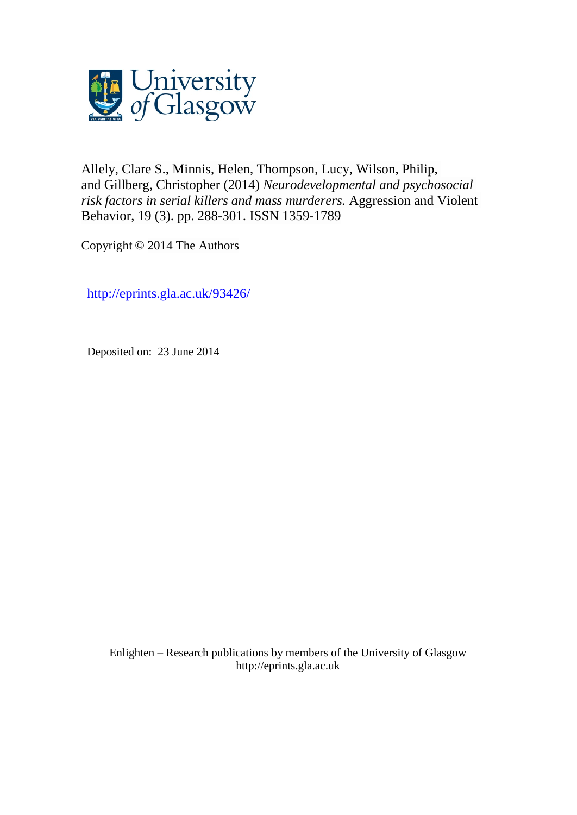

[Allely, Clare S.,](http://eprints.gla.ac.uk/view/author/16609.html) [Minnis, Helen,](http://eprints.gla.ac.uk/view/author/6137.html) [Thompson, Lucy,](http://eprints.gla.ac.uk/view/author/9894.html) [Wilson, Philip,](http://eprints.gla.ac.uk/view/author/10203.html) and [Gillberg, Christopher](http://eprints.gla.ac.uk/view/author/15882.html) (2014) *Neurodevelopmental and psychosocial risk factors in serial killers and mass murderers.* [Aggression and Violent](http://eprints.gla.ac.uk/view/journal_volume/Aggression_and_Violent_Behavior.html)  [Behavior,](http://eprints.gla.ac.uk/view/journal_volume/Aggression_and_Violent_Behavior.html) 19 (3). pp. 288-301. ISSN 1359-1789

Copyright © 2014 The Authors

<http://eprints.gla.ac.uk/93426/>

Deposited on: 23 June 2014

Enlighten – Research publications by members of the University of Glasgo[w](http://eprints.gla.ac.uk/) [http://eprints.gla.ac.uk](http://eprints.gla.ac.uk/)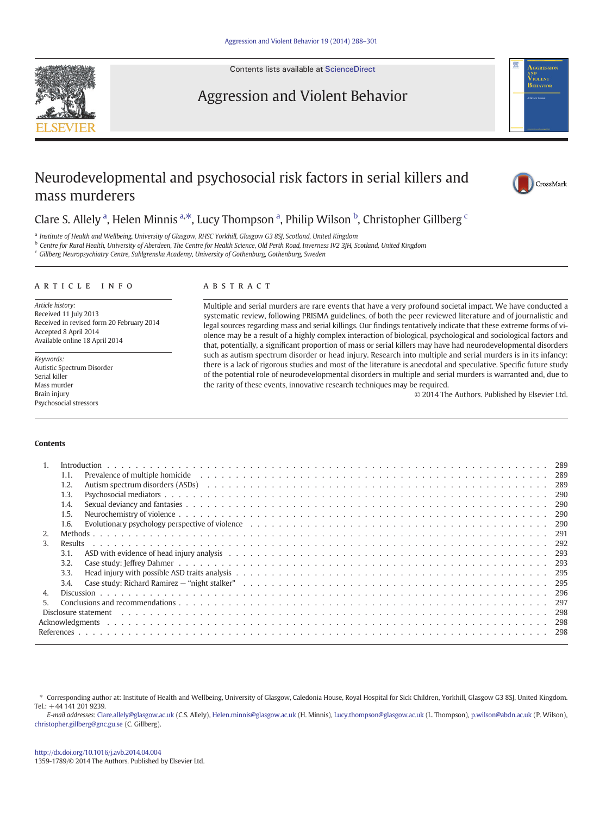Contents lists available at [ScienceDirect](http://www.sciencedirect.com/science/journal/13591789)

## Aggression and Violent Behavior

# Neurodevelopmental and psychosocial risk factors in serial killers and mass murderers

Clare S. Allely<sup>a</sup>, Helen Minnis<sup>a,\*</sup>, Lucy Thompson<sup>a</sup>, Philip Wilson<sup>b</sup>, Christopher Gillberg<sup>c</sup>

a Institute of Health and Wellbeing, University of Glasgow, RHSC Yorkhill, Glasgow G3 8SJ, Scotland, United Kingdom

<sup>b</sup> Centre for Rural Health, University of Aberdeen, The Centre for Health Science, Old Perth Road, Inverness IV2 3JH, Scotland, United Kingdom

<sup>c</sup> Gillberg Neuropsychiatry Centre, Sahlgrenska Academy, University of Gothenburg, Gothenburg, Sweden

#### article info abstract

Article history: Received 11 July 2013 Received in revised form 20 February 2014 Accepted 8 April 2014 Available online 18 April 2014

Keywords: Autistic Spectrum Disorder Serial killer Mass murder Brain injury Psychosocial stressors

Multiple and serial murders are rare events that have a very profound societal impact. We have conducted a systematic review, following PRISMA guidelines, of both the peer reviewed literature and of journalistic and legal sources regarding mass and serial killings. Our findings tentatively indicate that these extreme forms of violence may be a result of a highly complex interaction of biological, psychological and sociological factors and that, potentially, a significant proportion of mass or serial killers may have had neurodevelopmental disorders such as autism spectrum disorder or head injury. Research into multiple and serial murders is in its infancy: there is a lack of rigorous studies and most of the literature is anecdotal and speculative. Specific future study of the potential role of neurodevelopmental disorders in multiple and serial murders is warranted and, due to the rarity of these events, innovative research techniques may be required.

© 2014 The Authors. Published by Elsevier Ltd.

#### Contents

|    | 1.1.    | Prevalence of multiple homicide enterpreteration of the content of the boundary content of multiple homicide enterpreteration of the content of the content of the content of the content of the content of the content of the | 289  |  |  |  |
|----|---------|--------------------------------------------------------------------------------------------------------------------------------------------------------------------------------------------------------------------------------|------|--|--|--|
|    | 1.2.    |                                                                                                                                                                                                                                | 289  |  |  |  |
|    | 1.3.    |                                                                                                                                                                                                                                | 290  |  |  |  |
|    | 1.4.    |                                                                                                                                                                                                                                | 290  |  |  |  |
|    | 1.5.    |                                                                                                                                                                                                                                | 290  |  |  |  |
|    | 1.6.    | Evolutionary psychology perspective of violence enterpretation of the content of the content of violence enterpretation of the content of the content of the content of the content of the content of the content of the conte | 290  |  |  |  |
|    |         |                                                                                                                                                                                                                                | 291  |  |  |  |
|    | Results |                                                                                                                                                                                                                                | 292  |  |  |  |
|    | 3.1     |                                                                                                                                                                                                                                | 293  |  |  |  |
|    | 3.2     |                                                                                                                                                                                                                                | 293  |  |  |  |
|    |         |                                                                                                                                                                                                                                | -295 |  |  |  |
|    | 3.4.    |                                                                                                                                                                                                                                | 295  |  |  |  |
|    |         |                                                                                                                                                                                                                                | 296  |  |  |  |
| 5. |         |                                                                                                                                                                                                                                | 297  |  |  |  |
|    |         | Disclosure statement response to the case of the case of the case of the case of the case of the case of the case of the case of the case of the case of the case of the case of the case of the case of the case of the case  | 298  |  |  |  |
|    | 298     |                                                                                                                                                                                                                                |      |  |  |  |
|    |         |                                                                                                                                                                                                                                | 298  |  |  |  |

⁎ Corresponding author at: Institute of Health and Wellbeing, University of Glasgow, Caledonia House, Royal Hospital for Sick Children, Yorkhill, Glasgow G3 8SJ, United Kingdom. Tel.: +44 141 201 9239.

E-mail addresses: [Clare.allely@glasgow.ac.uk](mailto:Clare.allely@glasgow.ac.uk) (C.S. Allely), [Helen.minnis@glasgow.ac.uk](mailto:Helen.minnis@glasgow.ac.uk) (H. Minnis), [Lucy.thompson@glasgow.ac.uk](mailto:Lucy.thompson@glasgow.ac.uk) (L. Thompson), [p.wilson@abdn.ac.uk](mailto:p.wilson@abdn.ac.uk) (P. Wilson), [christopher.gillberg@gnc.gu.se](mailto:christopher.gillberg@gnc.gu.se) (C. Gillberg).





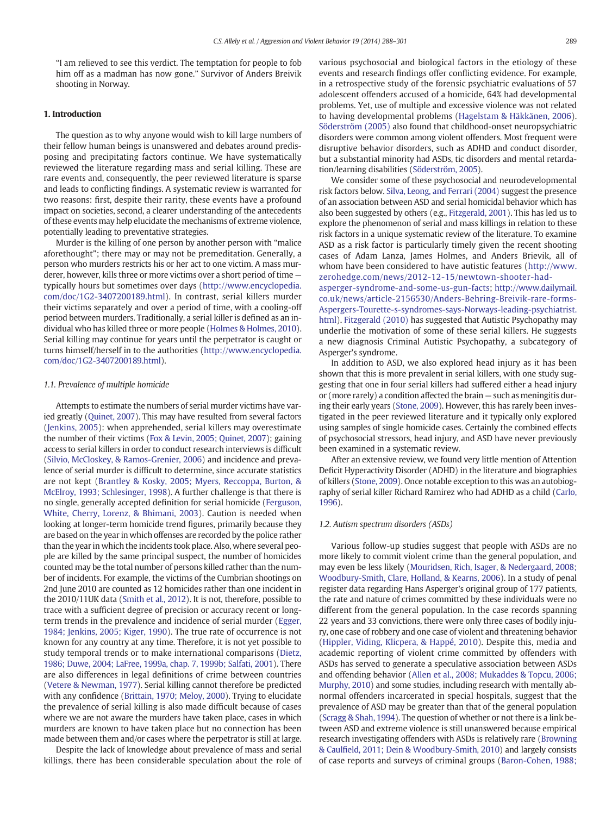"I am relieved to see this verdict. The temptation for people to fob him off as a madman has now gone." Survivor of Anders Breivik shooting in Norway.

#### 1. Introduction

The question as to why anyone would wish to kill large numbers of their fellow human beings is unanswered and debates around predisposing and precipitating factors continue. We have systematically reviewed the literature regarding mass and serial killing. These are rare events and, consequently, the peer reviewed literature is sparse and leads to conflicting findings. A systematic review is warranted for two reasons: first, despite their rarity, these events have a profound impact on societies, second, a clearer understanding of the antecedents of these events may help elucidate the mechanisms of extreme violence, potentially leading to preventative strategies.

Murder is the killing of one person by another person with "malice aforethought"; there may or may not be premeditation. Generally, a person who murders restricts his or her act to one victim. A mass murderer, however, kills three or more victims over a short period of time typically hours but sometimes over days [\(http://www.encyclopedia.](http://www.encyclopedia.com/doc/1G2-3407200189.html) [com/doc/1G2-3407200189.html\)](http://www.encyclopedia.com/doc/1G2-3407200189.html). In contrast, serial killers murder their victims separately and over a period of time, with a cooling-off period between murders. Traditionally, a serial killer is defined as an individual who has killed three or more people [\(Holmes & Holmes, 2010](#page-11-0)). Serial killing may continue for years until the perpetrator is caught or turns himself/herself in to the authorities [\(http://www.encyclopedia.](http://www.encyclopedia.com/doc/1G2-3407200189.html) [com/doc/1G2-3407200189.html\)](http://www.encyclopedia.com/doc/1G2-3407200189.html).

#### 1.1. Prevalence of multiple homicide

Attempts to estimate the numbers of serial murder victims have varied greatly ([Quinet, 2007](#page-12-0)). This may have resulted from several factors [\(Jenkins, 2005\)](#page-11-0): when apprehended, serial killers may overestimate the number of their victims ([Fox & Levin, 2005; Quinet, 2007](#page-11-0)); gaining access to serial killers in order to conduct research interviews is difficult [\(Silvio, McCloskey, & Ramos-Grenier, 2006](#page-12-0)) and incidence and prevalence of serial murder is difficult to determine, since accurate statistics are not kept ([Brantley & Kosky, 2005; Myers, Reccoppa, Burton, &](#page-11-0) [McElroy, 1993; Schlesinger, 1998\)](#page-11-0). A further challenge is that there is no single, generally accepted definition for serial homicide ([Ferguson,](#page-11-0) [White, Cherry, Lorenz, & Bhimani, 2003](#page-11-0)). Caution is needed when looking at longer-term homicide trend figures, primarily because they are based on the year in which offenses are recorded by the police rather than the year in which the incidents took place. Also, where several people are killed by the same principal suspect, the number of homicides counted may be the total number of persons killed rather than the number of incidents. For example, the victims of the Cumbrian shootings on 2nd June 2010 are counted as 12 homicides rather than one incident in the 2010/11UK data [\(Smith et al., 2012\)](#page-12-0). It is not, therefore, possible to trace with a sufficient degree of precision or accuracy recent or longterm trends in the prevalence and incidence of serial murder [\(Egger,](#page-11-0) [1984; Jenkins, 2005; Kiger, 1990\)](#page-11-0). The true rate of occurrence is not known for any country at any time. Therefore, it is not yet possible to study temporal trends or to make international comparisons ([Dietz,](#page-11-0) [1986; Duwe, 2004; LaFree, 1999a, chap. 7, 1999b; Salfati, 2001\)](#page-11-0). There are also differences in legal definitions of crime between countries [\(Vetere & Newman, 1977](#page-13-0)). Serial killing cannot therefore be predicted with any confidence [\(Brittain, 1970; Meloy, 2000\)](#page-11-0). Trying to elucidate the prevalence of serial killing is also made difficult because of cases where we are not aware the murders have taken place, cases in which murders are known to have taken place but no connection has been made between them and/or cases where the perpetrator is still at large.

Despite the lack of knowledge about prevalence of mass and serial killings, there has been considerable speculation about the role of various psychosocial and biological factors in the etiology of these events and research findings offer conflicting evidence. For example, in a retrospective study of the forensic psychiatric evaluations of 57 adolescent offenders accused of a homicide, 64% had developmental problems. Yet, use of multiple and excessive violence was not related to having developmental problems ([Hagelstam & Häkkänen, 2006](#page-11-0)). [Söderström \(2005\)](#page-12-0) also found that childhood-onset neuropsychiatric disorders were common among violent offenders. Most frequent were disruptive behavior disorders, such as ADHD and conduct disorder, but a substantial minority had ASDs, tic disorders and mental retardation/learning disabilities [\(Söderström, 2005\)](#page-12-0).

We consider some of these psychosocial and neurodevelopmental risk factors below. [Silva, Leong, and Ferrari \(2004\)](#page-12-0) suggest the presence of an association between ASD and serial homicidal behavior which has also been suggested by others (e.g., [Fitzgerald, 2001\)](#page-11-0). This has led us to explore the phenomenon of serial and mass killings in relation to these risk factors in a unique systematic review of the literature. To examine ASD as a risk factor is particularly timely given the recent shooting cases of Adam Lanza, James Holmes, and Anders Brievik, all of whom have been considered to have autistic features [\(http://www.](http://www.zerohedge.com/news/2012-12-15/newtown-shooter-had-asperger-syndrome-and-some-us-gun-facts) [zerohedge.com/news/2012-12-15/newtown-shooter-had-](http://www.zerohedge.com/news/2012-12-15/newtown-shooter-had-asperger-syndrome-and-some-us-gun-facts)

[asperger-syndrome-and-some-us-gun-facts;](http://www.zerohedge.com/news/2012-12-15/newtown-shooter-had-asperger-syndrome-and-some-us-gun-facts) [http://www.dailymail.](http://www.dailymail.co.uk/news/article-2156530/Anders-Behring-Breivik-rare-forms-Aspergers-Tourette-s-syndromes-says-Norways-leading-psychiatrist.html) [co.uk/news/article-2156530/Anders-Behring-Breivik-rare-forms-](http://www.dailymail.co.uk/news/article-2156530/Anders-Behring-Breivik-rare-forms-Aspergers-Tourette-s-syndromes-says-Norways-leading-psychiatrist.html)[Aspergers-Tourette-s-syndromes-says-Norways-leading-psychiatrist.](http://www.dailymail.co.uk/news/article-2156530/Anders-Behring-Breivik-rare-forms-Aspergers-Tourette-s-syndromes-says-Norways-leading-psychiatrist.html) [html\)](http://www.dailymail.co.uk/news/article-2156530/Anders-Behring-Breivik-rare-forms-Aspergers-Tourette-s-syndromes-says-Norways-leading-psychiatrist.html). [Fitzgerald \(2010\)](#page-11-0) has suggested that Autistic Psychopathy may underlie the motivation of some of these serial killers. He suggests a new diagnosis Criminal Autistic Psychopathy, a subcategory of Asperger's syndrome.

In addition to ASD, we also explored head injury as it has been shown that this is more prevalent in serial killers, with one study suggesting that one in four serial killers had suffered either a head injury or (more rarely) a condition affected the brain — such as meningitis during their early years [\(Stone, 2009\)](#page-13-0). However, this has rarely been investigated in the peer reviewed literature and it typically only explored using samples of single homicide cases. Certainly the combined effects of psychosocial stressors, head injury, and ASD have never previously been examined in a systematic review.

After an extensive review, we found very little mention of Attention Deficit Hyperactivity Disorder (ADHD) in the literature and biographies of killers ([Stone, 2009\)](#page-13-0). Once notable exception to this was an autobiography of serial killer Richard Ramirez who had ADHD as a child [\(Carlo,](#page-11-0) [1996](#page-11-0)).

#### 1.2. Autism spectrum disorders (ASDs)

Various follow-up studies suggest that people with ASDs are no more likely to commit violent crime than the general population, and may even be less likely [\(Mouridsen, Rich, Isager, & Nedergaard, 2008;](#page-12-0) [Woodbury-Smith, Clare, Holland, & Kearns, 2006\)](#page-12-0). In a study of penal register data regarding Hans Asperger's original group of 177 patients, the rate and nature of crimes committed by these individuals were no different from the general population. In the case records spanning 22 years and 33 convictions, there were only three cases of bodily injury, one case of robbery and one case of violent and threatening behavior [\(Hippler, Viding, Klicpera, & Happé, 2010](#page-11-0)). Despite this, media and academic reporting of violent crime committed by offenders with ASDs has served to generate a speculative association between ASDs and offending behavior [\(Allen et al., 2008; Mukaddes & Topcu, 2006;](#page-11-0) [Murphy, 2010\)](#page-11-0) and some studies, including research with mentally abnormal offenders incarcerated in special hospitals, suggest that the prevalence of ASD may be greater than that of the general population [\(Scragg & Shah, 1994](#page-12-0)). The question of whether or not there is a link between ASD and extreme violence is still unanswered because empirical research investigating offenders with ASDs is relatively rare ([Browning](#page-11-0) & Caulfi[eld, 2011; Dein & Woodbury-Smith, 2010](#page-11-0)) and largely consists of case reports and surveys of criminal groups ([Baron-Cohen, 1988;](#page-11-0)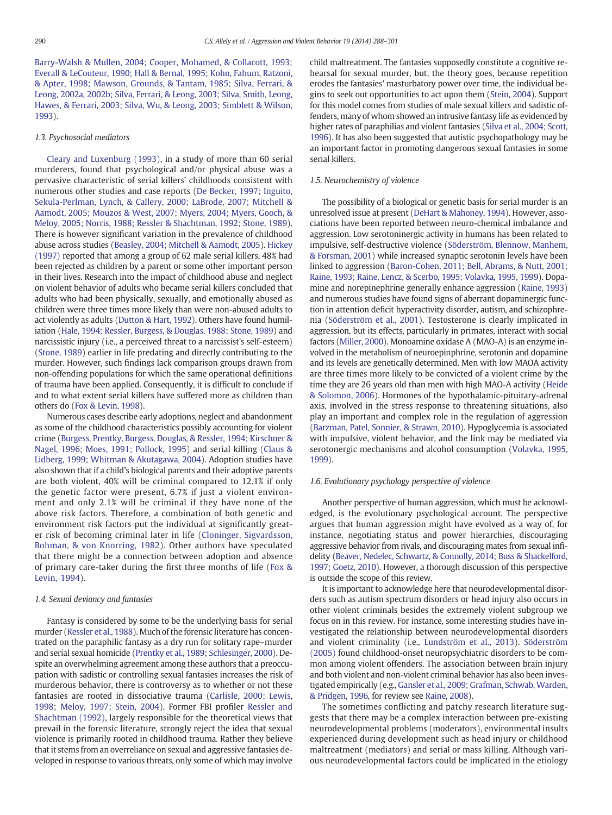[Barry-Walsh & Mullen, 2004; Cooper, Mohamed, & Collacott, 1993;](#page-11-0) [Everall & LeCouteur, 1990; Hall & Bernal, 1995; Kohn, Fahum, Ratzoni,](#page-11-0) [& Apter, 1998; Mawson, Grounds, & Tantam, 1985; Silva, Ferrari, &](#page-11-0) [Leong, 2002a, 2002b; Silva, Ferrari, & Leong, 2003; Silva, Smith, Leong,](#page-11-0) [Hawes, & Ferrari, 2003; Silva, Wu, & Leong, 2003; Simblett & Wilson,](#page-11-0) [1993\)](#page-11-0).

#### 1.3. Psychosocial mediators

[Cleary and Luxenburg \(1993\),](#page-11-0) in a study of more than 60 serial murderers, found that psychological and/or physical abuse was a pervasive characteristic of serial killers' childhoods consistent with numerous other studies and case reports ([De Becker, 1997; Inguito,](#page-11-0) [Sekula-Perlman, Lynch, & Callery, 2000; LaBrode, 2007; Mitchell &](#page-11-0) [Aamodt, 2005; Mouzos & West, 2007; Myers, 2004; Myers, Gooch, &](#page-11-0) [Meloy, 2005; Norris, 1988; Ressler & Shachtman, 1992; Stone, 1989](#page-11-0)). There is however significant variation in the prevalence of childhood abuse across studies [\(Beasley, 2004; Mitchell & Aamodt, 2005](#page-11-0)). [Hickey](#page-11-0) [\(1997\)](#page-11-0) reported that among a group of 62 male serial killers, 48% had been rejected as children by a parent or some other important person in their lives. Research into the impact of childhood abuse and neglect on violent behavior of adults who became serial killers concluded that adults who had been physically, sexually, and emotionally abused as children were three times more likely than were non-abused adults to act violently as adults [\(Dutton & Hart, 1992](#page-11-0)). Others have found humiliation ([Hale, 1994; Ressler, Burgess, & Douglas, 1988; Stone, 1989\)](#page-11-0) and narcissistic injury (i.e., a perceived threat to a narcissist's self-esteem) [\(Stone, 1989\)](#page-13-0) earlier in life predating and directly contributing to the murder. However, such findings lack comparison groups drawn from non-offending populations for which the same operational definitions of trauma have been applied. Consequently, it is difficult to conclude if and to what extent serial killers have suffered more as children than others do [\(Fox & Levin, 1998\)](#page-11-0).

Numerous cases describe early adoptions, neglect and abandonment as some of the childhood characteristics possibly accounting for violent crime [\(Burgess, Prentky, Burgess, Douglas, & Ressler, 1994; Kirschner &](#page-11-0) [Nagel, 1996; Moes, 1991; Pollock, 1995\)](#page-11-0) and serial killing ([Claus &](#page-11-0) [Lidberg, 1999; Whitman & Akutagawa, 2004\)](#page-11-0). Adoption studies have also shown that if a child's biological parents and their adoptive parents are both violent, 40% will be criminal compared to 12.1% if only the genetic factor were present, 6.7% if just a violent environment and only 2.1% will be criminal if they have none of the above risk factors. Therefore, a combination of both genetic and environment risk factors put the individual at significantly greater risk of becoming criminal later in life [\(Cloninger, Sigvardsson,](#page-11-0) [Bohman, & von Knorring, 1982\)](#page-11-0). Other authors have speculated that there might be a connection between adoption and absence of primary care-taker during the first three months of life ([Fox &](#page-11-0) [Levin, 1994\)](#page-11-0).

#### 1.4. Sexual deviancy and fantasies

Fantasy is considered by some to be the underlying basis for serial murder [\(Ressler et al., 1988](#page-12-0)). Much of the forensic literature has concentrated on the paraphilic fantasy as a dry run for solitary rape–murder and serial sexual homicide [\(Prentky et al., 1989](#page-12-0); [Schlesinger, 2000](#page-12-0)). Despite an overwhelming agreement among these authors that a preoccupation with sadistic or controlling sexual fantasies increases the risk of murderous behavior, there is controversy as to whether or not these fantasies are rooted in dissociative trauma [\(Carlisle, 2000; Lewis,](#page-11-0) [1998](#page-11-0); [Meloy, 1997; Stein, 2004](#page-12-0)). Former FBI profiler [Ressler and](#page-12-0) [Shachtman \(1992\)](#page-12-0), largely responsible for the theoretical views that prevail in the forensic literature, strongly reject the idea that sexual violence is primarily rooted in childhood trauma. Rather they believe that it stems from an overreliance on sexual and aggressive fantasies developed in response to various threats, only some of which may involve child maltreatment. The fantasies supposedly constitute a cognitive rehearsal for sexual murder, but, the theory goes, because repetition erodes the fantasies' masturbatory power over time, the individual begins to seek out opportunities to act upon them [\(Stein, 2004\)](#page-13-0). Support for this model comes from studies of male sexual killers and sadistic offenders, many of whom showed an intrusive fantasy life as evidenced by higher rates of paraphilias and violent fantasies ([Silva et al., 2004; Scott,](#page-12-0) [1996\)](#page-12-0). It has also been suggested that autistic psychopathology may be an important factor in promoting dangerous sexual fantasies in some serial killers.

#### 1.5. Neurochemistry of violence

The possibility of a biological or genetic basis for serial murder is an unresolved issue at present ([DeHart & Mahoney, 1994\)](#page-11-0). However, associations have been reported between neuro-chemical imbalance and aggression. Low serotoninergic activity in humans has been related to impulsive, self-destructive violence [\(Söderström, Blennow, Manhem,](#page-12-0) [& Forsman, 2001\)](#page-12-0) while increased synaptic serotonin levels have been linked to aggression [\(Baron-Cohen, 2011; Bell, Abrams, & Nutt, 2001;](#page-11-0) [Raine, 1993; Raine, Lencz, & Scerbo, 1995; Volavka, 1995, 1999\)](#page-11-0). Dopamine and norepinephrine generally enhance aggression [\(Raine, 1993](#page-12-0)) and numerous studies have found signs of aberrant dopaminergic function in attention deficit hyperactivity disorder, autism, and schizophrenia ([Söderström et al., 2001\)](#page-12-0). Testosterone is clearly implicated in aggression, but its effects, particularly in primates, interact with social factors ([Miller, 2000](#page-12-0)). Monoamine oxidase A (MAO-A) is an enzyme involved in the metabolism of neuroepinphrine, serotonin and dopamine and its levels are genetically determined. Men with low MAOA activity are three times more likely to be convicted of a violent crime by the time they are 26 years old than men with high MAO-A activity ([Heide](#page-11-0) [& Solomon, 2006](#page-11-0)). Hormones of the hypothalamic-pituitary-adrenal axis, involved in the stress response to threatening situations, also play an important and complex role in the regulation of aggression [\(Barzman, Patel, Sonnier, & Strawn, 2010\)](#page-11-0). Hypoglycemia is associated with impulsive, violent behavior, and the link may be mediated via serotonergic mechanisms and alcohol consumption ([Volavka, 1995,](#page-13-0) [1999\)](#page-13-0).

#### 1.6. Evolutionary psychology perspective of violence

Another perspective of human aggression, which must be acknowledged, is the evolutionary psychological account. The perspective argues that human aggression might have evolved as a way of, for instance, negotiating status and power hierarchies, discouraging aggressive behavior from rivals, and discouraging mates from sexual infidelity [\(Beaver, Nedelec, Schwartz, & Connolly, 2014; Buss & Shackelford,](#page-11-0) [1997; Goetz, 2010\)](#page-11-0). However, a thorough discussion of this perspective is outside the scope of this review.

It is important to acknowledge here that neurodevelopmental disorders such as autism spectrum disorders or head injury also occurs in other violent criminals besides the extremely violent subgroup we focus on in this review. For instance, some interesting studies have investigated the relationship between neurodevelopmental disorders and violent criminality (i.e., [Lundström et al., 2013\)](#page-12-0). [Söderström](#page-12-0) [\(2005\)](#page-12-0) found childhood-onset neuropsychiatric disorders to be common among violent offenders. The association between brain injury and both violent and non-violent criminal behavior has also been investigated empirically (e.g., [Gansler et al., 2009; Grafman, Schwab, Warden,](#page-11-0) [& Pridgen, 1996](#page-11-0), for review see [Raine, 2008\)](#page-12-0).

The sometimes conflicting and patchy research literature suggests that there may be a complex interaction between pre-existing neurodevelopmental problems (moderators), environmental insults experienced during development such as head injury or childhood maltreatment (mediators) and serial or mass killing. Although various neurodevelopmental factors could be implicated in the etiology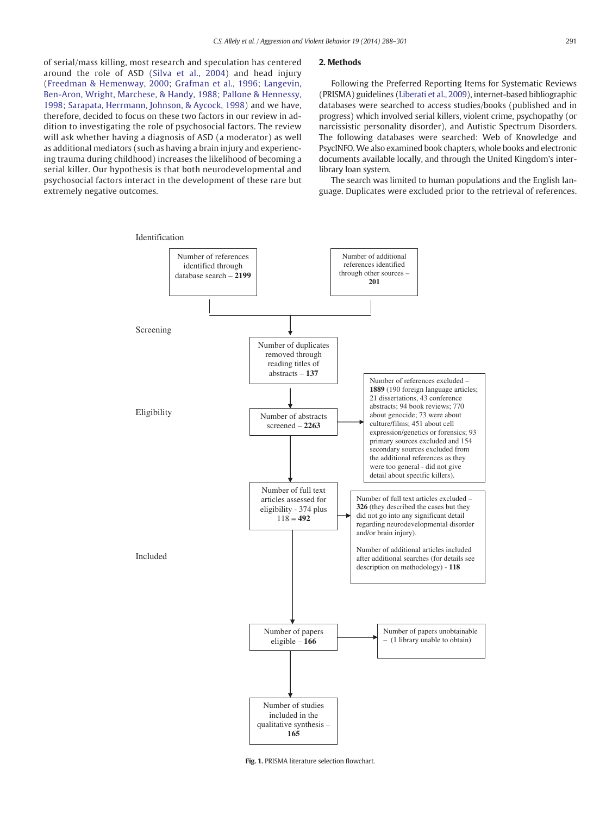<span id="page-4-0"></span>of serial/mass killing, most research and speculation has centered around the role of ASD ([Silva et al., 2004](#page-12-0)) and head injury [\(Freedman & Hemenway, 2000; Grafman et al., 1996; Langevin,](#page-11-0) Ben-Aron, Wright, Marchese, & [Handy, 1988; Pallone & Hennessy,](#page-11-0) [1998; Sarapata, Herrmann,](#page-11-0) Johnson, & Aycock, 1998) and we have, therefore, decided to focus on these two factors in our review in addition to investigating the role of psychosocial factors. The review will ask whether having a diagnosis of ASD (a moderator) as well as additional mediators (such as having a brain injury and experiencing trauma during childhood) increases the likelihood of becoming a serial killer. Our hypothesis is that both neurodevelopmental and psychosocial factors interact in the development of these rare but extremely negative outcomes.

#### 2. Methods

Following the Preferred Reporting Items for Systematic Reviews (PRISMA) guidelines [\(Liberati et al., 2009](#page-12-0)), internet-based bibliographic databases were searched to access studies/books (published and in progress) which involved serial killers, violent crime, psychopathy (or narcissistic personality disorder), and Autistic Spectrum Disorders. The following databases were searched: Web of Knowledge and PsycINFO.We also examined book chapters, whole books and electronic documents available locally, and through the United Kingdom's interlibrary loan system.

The search was limited to human populations and the English language. Duplicates were excluded prior to the retrieval of references.



Fig. 1. PRISMA literature selection flowchart.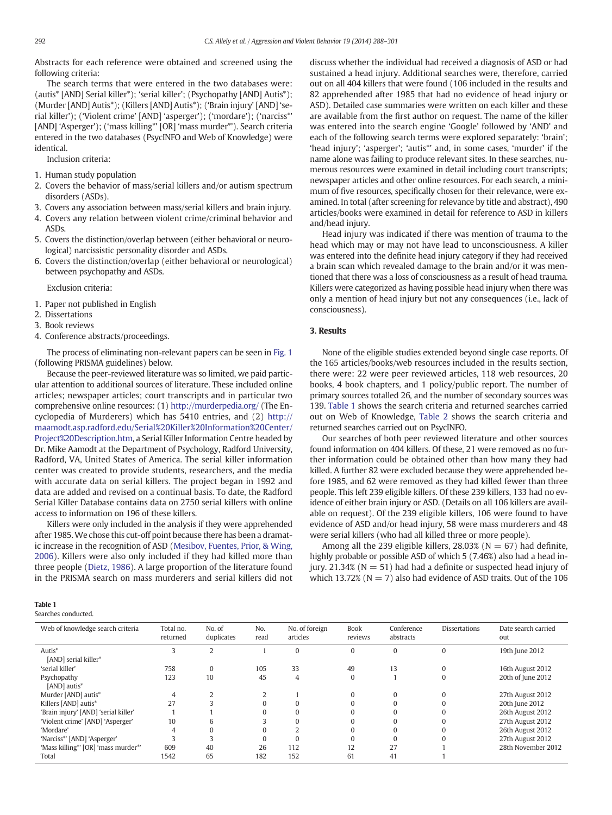Abstracts for each reference were obtained and screened using the following criteria:

The search terms that were entered in the two databases were: (autis\* [AND] Serial killer\*); 'serial killer'; (Psychopathy [AND] Autis\*); (Murder [AND] Autis\*); (Killers [AND] Autis\*); ('Brain injury' [AND] 'serial killer'); ('Violent crime' [AND] 'asperger'); ('mordare'); ('narciss\*' [AND] 'Asperger'); ('mass killing\*' [OR] 'mass murder\*'). Search criteria entered in the two databases (PsycINFO and Web of Knowledge) were identical.

Inclusion criteria:

- 1. Human study population
- 2. Covers the behavior of mass/serial killers and/or autism spectrum disorders (ASDs).
- 3. Covers any association between mass/serial killers and brain injury.
- 4. Covers any relation between violent crime/criminal behavior and ASDs.
- 5. Covers the distinction/overlap between (either behavioral or neurological) narcissistic personality disorder and ASDs.
- 6. Covers the distinction/overlap (either behavioral or neurological) between psychopathy and ASDs.

Exclusion criteria:

- 1. Paper not published in English
- 2. Dissertations
- 3. Book reviews
- 4. Conference abstracts/proceedings.

The process of eliminating non-relevant papers can be seen in [Fig. 1](#page-4-0) (following PRISMA guidelines) below.

Because the peer-reviewed literature was so limited, we paid particular attention to additional sources of literature. These included online articles; newspaper articles; court transcripts and in particular two comprehensive online resources: (1) <http://murderpedia.org/> (The Encyclopedia of Murderers) which has 5410 entries, and (2) [http://](http://maamodt.asp.radford.edu/Serial%20Killer%20Information%20Center/Project%20Description.htm) [maamodt.asp.radford.edu/Serial%20Killer%20Information%20Center/](http://maamodt.asp.radford.edu/Serial%20Killer%20Information%20Center/Project%20Description.htm) [Project%20Description.htm](http://maamodt.asp.radford.edu/Serial%20Killer%20Information%20Center/Project%20Description.htm), a Serial Killer Information Centre headed by Dr. Mike Aamodt at the Department of Psychology, Radford University, Radford, VA, United States of America. The serial killer information center was created to provide students, researchers, and the media with accurate data on serial killers. The project began in 1992 and data are added and revised on a continual basis. To date, the Radford Serial Killer Database contains data on 2750 serial killers with online access to information on 196 of these killers.

Killers were only included in the analysis if they were apprehended after 1985.We chose this cut-off point because there has been a dramatic increase in the recognition of ASD ([Mesibov, Fuentes, Prior, & Wing,](#page-12-0) [2006](#page-12-0)). Killers were also only included if they had killed more than three people ([Dietz, 1986\)](#page-11-0). A large proportion of the literature found in the PRISMA search on mass murderers and serial killers did not discuss whether the individual had received a diagnosis of ASD or had sustained a head injury. Additional searches were, therefore, carried out on all 404 killers that were found (106 included in the results and 82 apprehended after 1985 that had no evidence of head injury or ASD). Detailed case summaries were written on each killer and these are available from the first author on request. The name of the killer was entered into the search engine 'Google' followed by 'AND' and each of the following search terms were explored separately: 'brain'; 'head injury'; 'asperger'; 'autis\*' and, in some cases, 'murder' if the name alone was failing to produce relevant sites. In these searches, numerous resources were examined in detail including court transcripts; newspaper articles and other online resources. For each search, a minimum of five resources, specifically chosen for their relevance, were examined. In total (after screening for relevance by title and abstract), 490 articles/books were examined in detail for reference to ASD in killers and/head injury.

Head injury was indicated if there was mention of trauma to the head which may or may not have lead to unconsciousness. A killer was entered into the definite head injury category if they had received a brain scan which revealed damage to the brain and/or it was mentioned that there was a loss of consciousness as a result of head trauma. Killers were categorized as having possible head injury when there was only a mention of head injury but not any consequences (i.e., lack of consciousness).

#### 3. Results

None of the eligible studies extended beyond single case reports. Of the 165 articles/books/web resources included in the results section, there were: 22 were peer reviewed articles, 118 web resources, 20 books, 4 book chapters, and 1 policy/public report. The number of primary sources totalled 26, and the number of secondary sources was 139. Table 1 shows the search criteria and returned searches carried out on Web of Knowledge, [Table 2](#page-6-0) shows the search criteria and returned searches carried out on PsycINFO.

Our searches of both peer reviewed literature and other sources found information on 404 killers. Of these, 21 were removed as no further information could be obtained other than how many they had killed. A further 82 were excluded because they were apprehended before 1985, and 62 were removed as they had killed fewer than three people. This left 239 eligible killers. Of these 239 killers, 133 had no evidence of either brain injury or ASD. (Details on all 106 killers are available on request). Of the 239 eligible killers, 106 were found to have evidence of ASD and/or head injury, 58 were mass murderers and 48 were serial killers (who had all killed three or more people).

Among all the 239 eligible killers, 28.03% ( $N = 67$ ) had definite, highly probable or possible ASD of which 5 (7.46%) also had a head injury. 21.34% ( $N = 51$ ) had had a definite or suspected head injury of which 13.72% ( $N = 7$ ) also had evidence of ASD traits. Out of the 106

#### Table 1

Searches conducted.

| Web of knowledge search criteria     | Total no.<br>returned | No. of<br>duplicates | No.<br>read | No. of foreign<br>articles | <b>Book</b><br>reviews | Conference<br>abstracts | Dissertations | Date search carried<br>out |
|--------------------------------------|-----------------------|----------------------|-------------|----------------------------|------------------------|-------------------------|---------------|----------------------------|
| Autis*                               |                       | $\overline{2}$       |             | $\Omega$                   | $\Omega$               | $\mathbf{0}$            | $\Omega$      | 19th June 2012             |
| [AND] serial killer*                 |                       |                      |             |                            |                        |                         |               |                            |
| 'serial killer'                      | 758                   | $\mathbf{0}$         | 105         | 33                         | 49                     | 13                      | $\Omega$      | 16th August 2012           |
| Psychopathy                          | 123                   | 10                   | 45          | 4                          | $\Omega$               |                         | $\Omega$      | 20th of June 2012          |
| [AND] autis*                         |                       |                      |             |                            |                        |                         |               |                            |
| Murder [AND] autis*                  | 4                     | $\overline{2}$       |             |                            | $\Omega$               | $\Omega$                | 0             | 27th August 2012           |
| Killers [AND] autis*                 | 27                    |                      | $\Omega$    | $\Omega$                   | $\Omega$               |                         | 0             | 20th June 2012             |
| 'Brain injury' [AND] 'serial killer' |                       |                      | $\Omega$    | $\Omega$                   |                        |                         |               | 26th August 2012           |
| 'Violent crime' [AND] 'Asperger'     | 10                    | 6                    |             | $\Omega$                   |                        |                         |               | 27th August 2012           |
| 'Mordare'                            |                       | $\bf{0}$             | $\Omega$    |                            |                        |                         | 0             | 26th August 2012           |
| 'Narciss*' [AND] 'Asperger'          |                       | 3                    | $\Omega$    | $\Omega$                   | $\Omega$               |                         | 0             | 27th August 2012           |
| 'Mass killing*' [OR] 'mass murder*'  | 609                   | 40                   | 26          | 112                        | 12                     | 27                      |               | 28th November 2012         |
| Total                                | 1542                  | 65                   | 182         | 152                        | 61                     | 41                      |               |                            |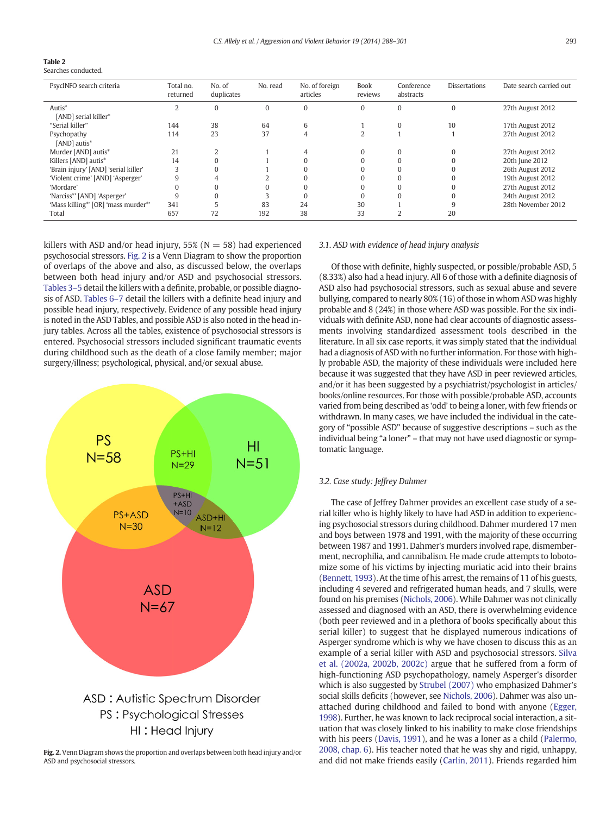<span id="page-6-0"></span>

|--|

Searches conducted.

| PsycINFO search criteria             | Total no.<br>returned | No. of<br>duplicates | No. read | No. of foreign<br>articles | <b>Book</b><br>reviews | Conference<br>abstracts | <b>Dissertations</b> | Date search carried out |
|--------------------------------------|-----------------------|----------------------|----------|----------------------------|------------------------|-------------------------|----------------------|-------------------------|
| Autis*                               | 2                     | $\Omega$             | $\Omega$ | $\Omega$                   | $\Omega$               | 0                       |                      | 27th August 2012        |
| [AND] serial killer*                 |                       |                      |          |                            |                        |                         |                      |                         |
| "Serial killer"                      | 144                   | 38                   | 64       | 6                          |                        | $\Omega$                | 10                   | 17th August 2012        |
| Psychopathy                          | 114                   | 23                   | 37       | 4                          |                        |                         |                      | 27th August 2012        |
| [AND] autis*                         |                       |                      |          |                            |                        |                         |                      |                         |
| Murder [AND] autis*                  | 21                    |                      |          | 4                          | $\Omega$               | $\Omega$                |                      | 27th August 2012        |
| Killers [AND] autis*                 | 14                    |                      |          |                            |                        |                         |                      | 20th June 2012          |
| 'Brain injury' [AND] 'serial killer' | 3                     |                      |          |                            | $\Omega$               |                         |                      | 26th August 2012        |
| 'Violent crime' [AND] 'Asperger'     | 9                     | 4                    |          |                            |                        |                         |                      | 19th August 2012        |
| 'Mordare'                            | 0                     |                      |          |                            |                        |                         |                      | 27th August 2012        |
| 'Narciss*' [AND] 'Asperger'          | 9                     |                      |          |                            |                        |                         |                      | 24th August 2012        |
| 'Mass killing*' [OR] 'mass murder*'  | 341                   |                      | 83       | 24                         | 30                     |                         |                      | 28th November 2012      |
| Total                                | 657                   | 72                   | 192      | 38                         | 33                     |                         | 20                   |                         |

killers with ASD and/or head injury,  $55\%$  (N = 58) had experienced psychosocial stressors. Fig. 2 is a Venn Diagram to show the proportion of overlaps of the above and also, as discussed below, the overlaps between both head injury and/or ASD and psychosocial stressors. [Tables 3](#page-7-0)–5 detail the killers with a definite, probable, or possible diagnosis of ASD. [Tables 6](#page-9-0)–7 detail the killers with a definite head injury and possible head injury, respectively. Evidence of any possible head injury is noted in the ASD Tables, and possible ASD is also noted in the head injury tables. Across all the tables, existence of psychosocial stressors is entered. Psychosocial stressors included significant traumatic events during childhood such as the death of a close family member; major surgery/illness; psychological, physical, and/or sexual abuse.



Fig. 2. Venn Diagram shows the proportion and overlaps between both head injury and/or ASD and psychosocial stressors.

#### 3.1. ASD with evidence of head injury analysis

Of those with definite, highly suspected, or possible/probable ASD, 5 (8.33%) also had a head injury. All 6 of those with a definite diagnosis of ASD also had psychosocial stressors, such as sexual abuse and severe bullying, compared to nearly 80% (16) of those in whom ASD was highly probable and 8 (24%) in those where ASD was possible. For the six individuals with definite ASD, none had clear accounts of diagnostic assessments involving standardized assessment tools described in the literature. In all six case reports, it was simply stated that the individual had a diagnosis of ASD with no further information. For those with highly probable ASD, the majority of these individuals were included here because it was suggested that they have ASD in peer reviewed articles, and/or it has been suggested by a psychiatrist/psychologist in articles/ books/online resources. For those with possible/probable ASD, accounts varied from being described as 'odd' to being a loner, with few friends or withdrawn. In many cases, we have included the individual in the category of "possible ASD" because of suggestive descriptions – such as the individual being "a loner" – that may not have used diagnostic or symptomatic language.

#### 3.2. Case study: Jeffrey Dahmer

The case of Jeffrey Dahmer provides an excellent case study of a serial killer who is highly likely to have had ASD in addition to experiencing psychosocial stressors during childhood. Dahmer murdered 17 men and boys between 1978 and 1991, with the majority of these occurring between 1987 and 1991. Dahmer's murders involved rape, dismemberment, necrophilia, and cannibalism. He made crude attempts to lobotomize some of his victims by injecting muriatic acid into their brains [\(Bennett, 1993\)](#page-11-0). At the time of his arrest, the remains of 11 of his guests, including 4 severed and refrigerated human heads, and 7 skulls, were found on his premises [\(Nichols, 2006\)](#page-12-0). While Dahmer was not clinically assessed and diagnosed with an ASD, there is overwhelming evidence (both peer reviewed and in a plethora of books specifically about this serial killer) to suggest that he displayed numerous indications of Asperger syndrome which is why we have chosen to discuss this as an example of a serial killer with ASD and psychosocial stressors. [Silva](#page-12-0) [et al. \(2002a, 2002b, 2002c\)](#page-12-0) argue that he suffered from a form of high-functioning ASD psychopathology, namely Asperger's disorder which is also suggested by [Strubel \(2007\)](#page-13-0) who emphasized Dahmer's social skills deficits (however, see [Nichols, 2006](#page-12-0)). Dahmer was also unattached during childhood and failed to bond with anyone ([Egger,](#page-11-0) [1998](#page-11-0)). Further, he was known to lack reciprocal social interaction, a situation that was closely linked to his inability to make close friendships with his peers [\(Davis, 1991\)](#page-11-0), and he was a loner as a child ([Palermo,](#page-12-0) [2008, chap. 6](#page-12-0)). His teacher noted that he was shy and rigid, unhappy, and did not make friends easily [\(Carlin, 2011](#page-11-0)). Friends regarded him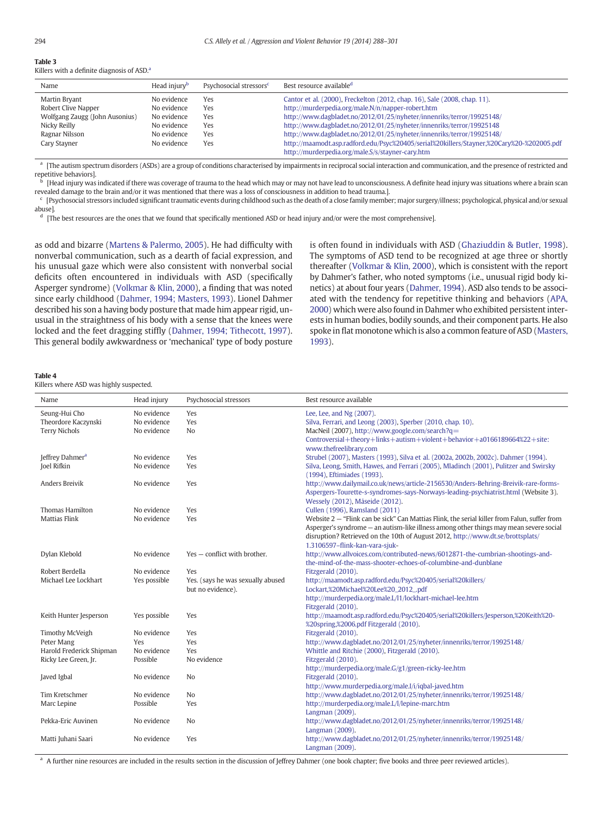<span id="page-7-0"></span>Killers with a definite diagnosis of ASD.<sup>a</sup>

| Name                                                                                                                     | Head injury <sup>b</sup>                                                               | Psychosocial stressors <sup>c</sup>    | Best resource available <sup>d</sup>                                                                                                                                                                                                                                                                                                                                                                                                                                                                      |
|--------------------------------------------------------------------------------------------------------------------------|----------------------------------------------------------------------------------------|----------------------------------------|-----------------------------------------------------------------------------------------------------------------------------------------------------------------------------------------------------------------------------------------------------------------------------------------------------------------------------------------------------------------------------------------------------------------------------------------------------------------------------------------------------------|
| Martin Bryant<br>Robert Clive Napper<br>Wolfgang Zaugg (John Ausonius)<br>Nicky Reilly<br>Ragnar Nilsson<br>Cary Stayner | No evidence<br>No evidence<br>No evidence<br>No evidence<br>No evidence<br>No evidence | Yes<br>Yes<br>Yes<br>Yes<br>Yes<br>Yes | Cantor et al. (2000), Freckelton (2012, chap. 16), Sale (2008, chap. 11).<br>http://murderpedia.org/male.N/n/napper-robert.htm<br>http://www.dagbladet.no/2012/01/25/nyheter/innenriks/terror/19925148/<br>http://www.dagbladet.no/2012/01/25/nyheter/innenriks/terror/19925148<br>http://www.dagbladet.no/2012/01/25/nyheter/innenriks/terror/19925148/<br>http://maamodt.asp.radford.edu/Psyc%20405/serial%20killers/Stayner,%20Cary%20-%202005.pdf<br>http://murderpedia.org/male.S/s/stayner-cary.htm |

<sup>a</sup> [The autism spectrum disorders (ASDs) are a group of conditions characterised by impairments in reciprocal social interaction and communication, and the presence of restricted and repetitive behaviors].

[Head injury was indicated if there was coverage of trauma to the head which may or may not have lead to unconsciousness. A definite head injury was situations where a brain scan revealed damage to the brain and/or it was mentioned that there was a loss of consciousness in addition to head trauma.].

<sup>c</sup> [Psychosocial stressors included significant traumatic events during childhood such as the death of a close family member; major surgery/illness; psychological, physical and/or sexual abuse].

 $<sup>d</sup>$  [The best resources are the ones that we found that specifically mentioned ASD or head injury and/or were the most comprehensive].</sup>

as odd and bizarre [\(Martens & Palermo, 2005](#page-12-0)). He had difficulty with nonverbal communication, such as a dearth of facial expression, and his unusual gaze which were also consistent with nonverbal social deficits often encountered in individuals with ASD (specifically Asperger syndrome) [\(Volkmar & Klin, 2000\)](#page-13-0), a finding that was noted since early childhood ([Dahmer, 1994; Masters, 1993\)](#page-11-0). Lionel Dahmer described his son a having body posture that made him appear rigid, unusual in the straightness of his body with a sense that the knees were locked and the feet dragging stiffly [\(Dahmer, 1994; Tithecott, 1997](#page-11-0)). This general bodily awkwardness or 'mechanical' type of body posture is often found in individuals with ASD [\(Ghaziuddin & Butler, 1998](#page-11-0)). The symptoms of ASD tend to be recognized at age three or shortly thereafter ([Volkmar & Klin, 2000\)](#page-13-0), which is consistent with the report by Dahmer's father, who noted symptoms (i.e., unusual rigid body kinetics) at about four years ([Dahmer, 1994\)](#page-11-0). ASD also tends to be associated with the tendency for repetitive thinking and behaviors ([APA,](#page-11-0) [2000\)](#page-11-0) which were also found in Dahmer who exhibited persistent interests in human bodies, bodily sounds, and their component parts. He also spoke in flat monotone which is also a common feature of ASD [\(Masters,](#page-12-0) [1993\)](#page-12-0).

|--|--|

Killers where ASD was highly suspected.

| Name                        | Head injury  | Psychosocial stressors            | Best resource available                                                                      |
|-----------------------------|--------------|-----------------------------------|----------------------------------------------------------------------------------------------|
| Seung-Hui Cho               | No evidence  | Yes                               | Lee, Lee, and Ng (2007).                                                                     |
| Theordore Kaczynski         | No evidence  | Yes                               | Silva, Ferrari, and Leong (2003), Sperber (2010, chap. 10).                                  |
| <b>Terry Nichols</b>        | No evidence  | N <sub>o</sub>                    | MacNeil (2007), http://www.google.com/search?q=                                              |
|                             |              |                                   | Controversial+theory+links+autism+violent+behavior+a0166189664%22+site:                      |
|                             |              |                                   | www.thefreelibrary.com                                                                       |
| Jeffrey Dahmer <sup>a</sup> | No evidence  | Yes                               | Strubel (2007), Masters (1993), Silva et al. (2002a, 2002b, 2002c). Dahmer (1994).           |
| Joel Rifkin                 | No evidence  | Yes                               | Silva, Leong, Smith, Hawes, and Ferrari (2005), Mladinch (2001), Pulitzer and Swirsky        |
|                             |              |                                   | (1994), Eftimiades (1993).                                                                   |
| <b>Anders Breivik</b>       | No evidence  | Yes                               | http://www.dailymail.co.uk/news/article-2156530/Anders-Behring-Breivik-rare-forms-           |
|                             |              |                                   | Aspergers-Tourette-s-syndromes-says-Norways-leading-psychiatrist.html (Website 3).           |
|                             |              |                                   | Wessely (2012), Måseide (2012).                                                              |
| Thomas Hamilton             | No evidence  | Yes                               | Cullen (1996), Ramsland (2011)                                                               |
| <b>Mattias Flink</b>        | No evidence  | Yes                               | Website 2 - "Flink can be sick" Can Mattias Flink, the serial killer from Falun, suffer from |
|                             |              |                                   | Asperger's syndrome – an autism-like illness among other things may mean severe social       |
|                             |              |                                   | disruption? Retrieved on the 10th of August 2012, http://www.dt.se/brottsplats/              |
|                             |              |                                   | 1.3106597-flink-kan-vara-sjuk-                                                               |
| Dylan Klebold               | No evidence  | Yes – conflict with brother.      | http://www.allvoices.com/contributed-news/6012871-the-cumbrian-shootings-and-                |
|                             |              |                                   | the-mind-of-the-mass-shooter-echoes-of-columbine-and-dunblane                                |
| Robert Berdella             | No evidence  | Yes                               | Fitzgerald (2010).                                                                           |
| Michael Lee Lockhart        | Yes possible | Yes. (says he was sexually abused | http://maamodt.asp.radford.edu/Psyc%20405/serial%20killers/                                  |
|                             |              | but no evidence).                 | Lockart,%20Michael%20Lee%20_2012_.pdf                                                        |
|                             |              |                                   | http://murderpedia.org/male.L/l1/lockhart-michael-lee.htm                                    |
|                             |              |                                   | Fitzgerald (2010).                                                                           |
| Keith Hunter Jesperson      | Yes possible | Yes                               | http://maamodt.asp.radford.edu/Psyc%20405/serial%20killers/Jesperson,%20Keith%20-            |
|                             |              |                                   | %20spring,%2006.pdf Fitzgerald (2010).                                                       |
| <b>Timothy McVeigh</b>      | No evidence  | Yes                               | Fitzgerald (2010).                                                                           |
| Peter Mang                  | <b>Yes</b>   | Yes                               | http://www.dagbladet.no/2012/01/25/nyheter/innenriks/terror/19925148/                        |
| Harold Frederick Shipman    | No evidence  | Yes                               | Whittle and Ritchie (2000), Fitzgerald (2010),                                               |
| Ricky Lee Green, Jr.        | Possible     | No evidence                       | Fitzgerald (2010).                                                                           |
|                             |              |                                   | http://murderpedia.org/male.G/g1/green-ricky-lee.htm                                         |
| Javed Igbal                 | No evidence  | N <sub>o</sub>                    | Fitzgerald (2010).                                                                           |
|                             |              |                                   | http://www.murderpedia.org/male.I/i/iqbal-javed.htm                                          |
| Tim Kretschmer              | No evidence  | No                                | http://www.dagbladet.no/2012/01/25/nyheter/innenriks/terror/19925148/                        |
| Marc Lepine                 | Possible     | Yes                               | http://murderpedia.org/male.L/l/lepine-marc.htm                                              |
|                             |              |                                   | Langman (2009).                                                                              |
| Pekka-Eric Auvinen          | No evidence  | No                                | http://www.dagbladet.no/2012/01/25/nyheter/innenriks/terror/19925148/                        |
|                             |              |                                   | Langman (2009).                                                                              |
| Matti Juhani Saari          | No evidence  | Yes                               | http://www.dagbladet.no/2012/01/25/nyheter/innenriks/terror/19925148/                        |
|                             |              |                                   | Langman (2009).                                                                              |

<sup>a</sup> A further nine resources are included in the results section in the discussion of Jeffrey Dahmer (one book chapter; five books and three peer reviewed articles).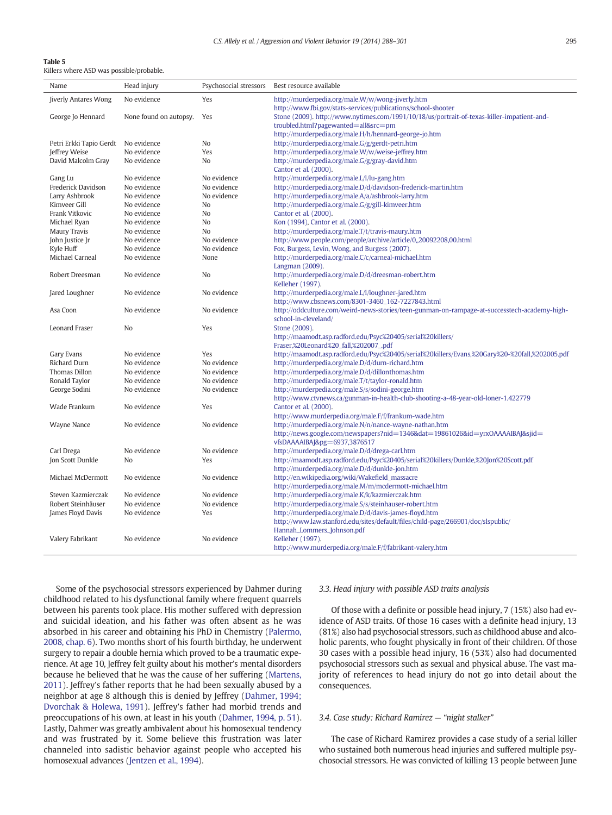Killers where ASD was possible/probable.

| Name                                 | Head injury                | Psychosocial stressors     | Best resource available                                                                                             |
|--------------------------------------|----------------------------|----------------------------|---------------------------------------------------------------------------------------------------------------------|
| <b>Jiverly Antares Wong</b>          | No evidence                | Yes                        | http://murderpedia.org/male.W/w/wong-jiverly.htm                                                                    |
|                                      |                            |                            | http://www.fbi.gov/stats-services/publications/school-shooter                                                       |
| George Jo Hennard                    | None found on autopsy.     | Yes                        | Stone (2009). http://www.nytimes.com/1991/10/18/us/portrait-of-texas-killer-impatient-and-                          |
|                                      |                            |                            | troubled.html?pagewanted=all&src=pm                                                                                 |
|                                      |                            |                            | http://murderpedia.org/male.H/h/hennard-george-jo.htm                                                               |
| Petri Erkki Tapio Gerdt              | No evidence                | No                         | http://murderpedia.org/male.G/g/gerdt-petri.htm                                                                     |
| Jeffrey Weise                        | No evidence                | Yes                        | http://murderpedia.org/male.W/w/weise-jeffrey.htm                                                                   |
| David Malcolm Gray                   | No evidence                | No                         | http://murderpedia.org/male.G/g/gray-david.htm                                                                      |
|                                      |                            |                            | Cantor et al. (2000).                                                                                               |
| Gang Lu                              | No evidence                | No evidence                | http://murderpedia.org/male.L/l/lu-gang.htm                                                                         |
| Frederick Davidson<br>Larry Ashbrook | No evidence<br>No evidence | No evidence<br>No evidence | http://murderpedia.org/male.D/d/davidson-frederick-martin.htm<br>http://murderpedia.org/male.A/a/ashbrook-larry.htm |
| Kimveer Gill                         | No evidence                | N <sub>0</sub>             | http://murderpedia.org/male.G/g/gill-kimveer.htm                                                                    |
| Frank Vitkovic                       | No evidence                | N <sub>0</sub>             | Cantor et al. (2000).                                                                                               |
| Michael Ryan                         | No evidence                | No                         | Kon (1994), Cantor et al. (2000).                                                                                   |
| <b>Maury Travis</b>                  | No evidence                | No                         | http://murderpedia.org/male.T/t/travis-maury.htm                                                                    |
| John Justice Jr                      | No evidence                | No evidence                | http://www.people.com/people/archive/article/0,,20092208,00.html                                                    |
| Kyle Huff                            | No evidence                | No evidence                | Fox, Burgess, Levin, Wong, and Burgess (2007).                                                                      |
| Michael Carneal                      | No evidence                | None                       | http://murderpedia.org/male.C/c/carneal-michael.htm                                                                 |
|                                      |                            |                            | Langman (2009).                                                                                                     |
| Robert Dreesman                      | No evidence                | N <sub>o</sub>             | http://murderpedia.org/male.D/d/dreesman-robert.htm                                                                 |
|                                      |                            |                            | Kelleher (1997).                                                                                                    |
| Jared Loughner                       | No evidence                | No evidence                | http://murderpedia.org/male.L/l/loughner-jared.htm                                                                  |
|                                      |                            |                            | http://www.cbsnews.com/8301-3460_162-7227843.html                                                                   |
| Asa Coon                             | No evidence                | No evidence                | http://oddculture.com/weird-news-stories/teen-gunman-on-rampage-at-successtech-academy-high-                        |
|                                      |                            |                            | school-in-cleveland/                                                                                                |
| Leonard Fraser                       | N <sub>o</sub>             | Yes                        | Stone (2009).                                                                                                       |
|                                      |                            |                            | http://maamodt.asp.radford.edu/Psyc%20405/serial%20killers/                                                         |
|                                      |                            |                            | Fraser,%20Leonard%20_fall,%202007_.pdf                                                                              |
| Gary Evans                           | No evidence                | Yes                        | http://maamodt.asp.radford.edu/Psyc%20405/serial%20killers/Evans,%20Gary%20-%20fall,%202005.pdf                     |
| Richard Durn                         | No evidence                | No evidence                | http://murderpedia.org/male.D/d/durn-richard.htm                                                                    |
| Thomas Dillon                        | No evidence                | No evidence                | http://murderpedia.org/male.D/d/dillonthomas.htm                                                                    |
| Ronald Taylor                        | No evidence                | No evidence                | http://murderpedia.org/male.T/t/taylor-ronald.htm                                                                   |
| George Sodini                        | No evidence                | No evidence                | http://murderpedia.org/male.S/s/sodini-george.htm                                                                   |
|                                      |                            |                            | http://www.ctvnews.ca/gunman-in-health-club-shooting-a-48-year-old-loner-1.422779                                   |
| Wade Frankum                         | No evidence                | Yes                        | Cantor et al. (2000).                                                                                               |
|                                      |                            |                            | http://www.murderpedia.org/male.F/f/frankum-wade.htm                                                                |
| Wayne Nance                          | No evidence                | No evidence                | http://murderpedia.org/male.N/n/nance-wayne-nathan.htm                                                              |
|                                      |                            |                            | http://news.google.com/newspapers?nid=1346&dat=19861026&id=yrxOAAAAIBAJ&sjid=<br>vfsDAAAAIBAJ&pg=6937,3876517       |
| Carl Drega                           | No evidence                | No evidence                | http://murderpedia.org/male.D/d/drega-carl.htm                                                                      |
| Jon Scott Dunkle                     | N <sub>0</sub>             | Yes                        | http://maamodt.asp.radford.edu/Psyc%20405/serial%20killers/Dunkle,%20Jon%20Scott.pdf                                |
|                                      |                            |                            | http://murderpedia.org/male.D/d/dunkle-jon.htm                                                                      |
| Michael McDermott                    | No evidence                | No evidence                | http://en.wikipedia.org/wiki/Wakefield_massacre                                                                     |
|                                      |                            |                            | http://murderpedia.org/male.M/m/mcdermott-michael.htm                                                               |
| Steven Kazmierczak                   | No evidence                | No evidence                | http://murderpedia.org/male.K/k/kazmierczak.htm                                                                     |
| Robert Steinhäuser                   | No evidence                | No evidence                | http://murderpedia.org/male.S/s/steinhauser-robert.htm                                                              |
| James Floyd Davis                    | No evidence                | Yes                        | http://murderpedia.org/male.D/d/davis-james-floyd.htm                                                               |
|                                      |                            |                            | http://www.law.stanford.edu/sites/default/files/child-page/266901/doc/slspublic/                                    |
|                                      |                            |                            | Hannah_Lommers_Johnson.pdf                                                                                          |
| Valery Fabrikant                     | No evidence                | No evidence                | Kelleher (1997).                                                                                                    |
|                                      |                            |                            | http://www.murderpedia.org/male.F/f/fabrikant-valery.htm                                                            |
|                                      |                            |                            |                                                                                                                     |

Some of the psychosocial stressors experienced by Dahmer during childhood related to his dysfunctional family where frequent quarrels between his parents took place. His mother suffered with depression and suicidal ideation, and his father was often absent as he was absorbed in his career and obtaining his PhD in Chemistry ([Palermo,](#page-12-0) [2008, chap. 6](#page-12-0)). Two months short of his fourth birthday, he underwent surgery to repair a double hernia which proved to be a traumatic experience. At age 10, Jeffrey felt guilty about his mother's mental disorders because he believed that he was the cause of her suffering ([Martens,](#page-12-0) [2011\)](#page-12-0). Jeffrey's father reports that he had been sexually abused by a neighbor at age 8 although this is denied by Jeffrey ([Dahmer, 1994;](#page-11-0) [Dvorchak & Holewa, 1991\)](#page-11-0). Jeffrey's father had morbid trends and preoccupations of his own, at least in his youth [\(Dahmer, 1994, p. 51](#page-11-0)). Lastly, Dahmer was greatly ambivalent about his homosexual tendency and was frustrated by it. Some believe this frustration was later channeled into sadistic behavior against people who accepted his homosexual advances [\(Jentzen et al., 1994\)](#page-11-0).

#### 3.3. Head injury with possible ASD traits analysis

Of those with a definite or possible head injury, 7 (15%) also had evidence of ASD traits. Of those 16 cases with a definite head injury, 13 (81%) also had psychosocial stressors, such as childhood abuse and alcoholic parents, who fought physically in front of their children. Of those 30 cases with a possible head injury, 16 (53%) also had documented psychosocial stressors such as sexual and physical abuse. The vast majority of references to head injury do not go into detail about the consequences.

#### 3.4. Case study: Richard Ramirez — "night stalker"

The case of Richard Ramirez provides a case study of a serial killer who sustained both numerous head injuries and suffered multiple psychosocial stressors. He was convicted of killing 13 people between June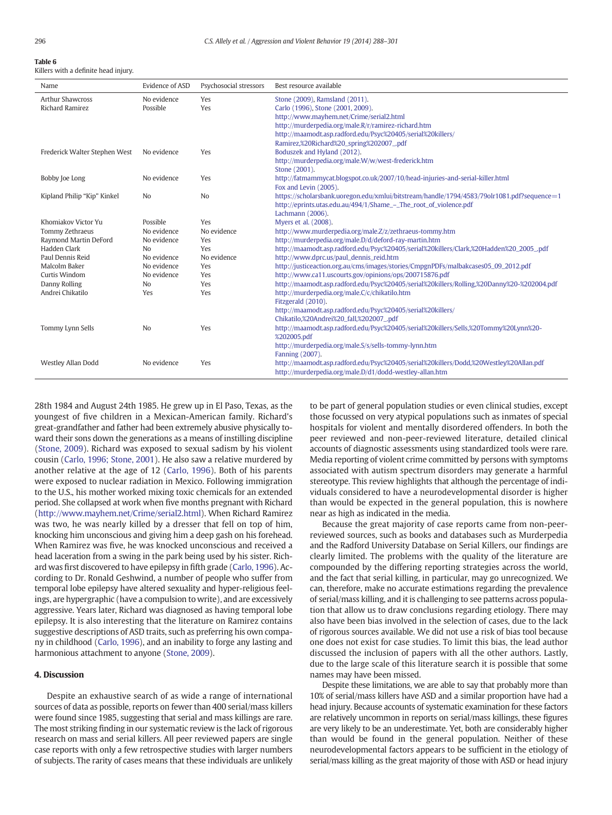<span id="page-9-0"></span>Killers with a definite head injury.

| Name                          | Evidence of ASD | Psychosocial stressors | Best resource available                                                                    |
|-------------------------------|-----------------|------------------------|--------------------------------------------------------------------------------------------|
| <b>Arthur Shawcross</b>       | No evidence     | Yes                    | Stone (2009), Ramsland (2011).                                                             |
| <b>Richard Ramirez</b>        | Possible        | Yes                    | Carlo (1996), Stone (2001, 2009).                                                          |
|                               |                 |                        | http://www.mayhem.net/Crime/serial2.html                                                   |
|                               |                 |                        | http://murderpedia.org/male.R/r/ramirez-richard.htm                                        |
|                               |                 |                        | http://maamodt.asp.radford.edu/Psyc%20405/serial%20killers/                                |
|                               |                 |                        | Ramirez,%20Richard%20_spring%202007_.pdf                                                   |
| Frederick Walter Stephen West | No evidence     | Yes                    | Boduszek and Hyland (2012).                                                                |
|                               |                 |                        | http://murderpedia.org/male.W/w/west-frederick.htm                                         |
|                               |                 |                        | Stone (2001).                                                                              |
| Bobby Joe Long                | No evidence     | Yes                    | http://fatmammycat.blogspot.co.uk/2007/10/head-injuries-and-serial-killer.html             |
|                               |                 |                        | Fox and Levin (2005).                                                                      |
| Kipland Philip "Kip" Kinkel   | N <sub>o</sub>  | N <sub>o</sub>         | https://scholarsbank.uoregon.edu/xmlui/bitstream/handle/1794/4583/79olr1081.pdf?sequence=1 |
|                               |                 |                        | http://eprints.utas.edu.au/494/1/Shame_-_The_root_of_violence.pdf                          |
|                               |                 |                        | Lachmann (2006).                                                                           |
| Khomiakov Victor Yu           | Possible        | Yes                    | Myers et al. (2008).                                                                       |
| Tommy Zethraeus               | No evidence     | No evidence            | http://www.murderpedia.org/male.Z/z/zethraeus-tommy.htm                                    |
| Raymond Martin DeFord         | No evidence     | Yes                    | http://murderpedia.org/male.D/d/deford-ray-martin.htm                                      |
| Hadden Clark                  | N <sub>o</sub>  | Yes                    | http://maamodt.asp.radford.edu/Psyc%20405/serial%20killers/Clark,%20Hadden%20_2005_pdf     |
| Paul Dennis Reid              | No evidence     | No evidence            | http://www.dprc.us/paul_dennis_reid.htm                                                    |
| Malcolm Baker                 | No evidence     | Yes                    | http://justiceaction.org.au/cms/images/stories/CmpgnPDFs/malbakcases05_09_2012.pdf         |
| Curtis Windom                 | No evidence     | Yes                    | http://www.ca11.uscourts.gov/opinions/ops/200715876.pdf                                    |
| Danny Rolling                 | No              | Yes                    | http://maamodt.asp.radford.edu/Psyc%20405/serial%20killers/Rolling,%20Danny%20-%202004.pdf |
| Andrei Chikatilo              | Yes             | Yes                    | http://murderpedia.org/male.C/c/chikatilo.htm                                              |
|                               |                 |                        | Fitzgerald (2010).                                                                         |
|                               |                 |                        | http://maamodt.asp.radford.edu/Psyc%20405/serial%20killers/                                |
|                               |                 |                        | Chikatilo,%20Andrei%20_fall,%202007_.pdf                                                   |
| Tommy Lynn Sells              | N <sub>o</sub>  | Yes                    | http://maamodt.asp.radford.edu/Psyc%20405/serial%20killers/Sells,%20Tommy%20Lynn%20-       |
|                               |                 |                        | %202005.pdf                                                                                |
|                               |                 |                        | http://murderpedia.org/male.S/s/sells-tommy-lynn.htm                                       |
|                               |                 |                        | Fanning (2007).                                                                            |
| Westley Allan Dodd            | No evidence     | Yes                    | http://maamodt.asp.radford.edu/Psyc%20405/serial%20killers/Dodd,%20Westley%20Allan.pdf     |
|                               |                 |                        | http://murderpedia.org/male.D/d1/dodd-westley-allan.htm                                    |

28th 1984 and August 24th 1985. He grew up in El Paso, Texas, as the youngest of five children in a Mexican-American family. Richard's great-grandfather and father had been extremely abusive physically toward their sons down the generations as a means of instilling discipline [\(Stone, 2009](#page-13-0)). Richard was exposed to sexual sadism by his violent cousin ([Carlo, 1996; Stone, 2001](#page-11-0)). He also saw a relative murdered by another relative at the age of 12 ([Carlo, 1996\)](#page-11-0). Both of his parents were exposed to nuclear radiation in Mexico. Following immigration to the U.S., his mother worked mixing toxic chemicals for an extended period. She collapsed at work when five months pregnant with Richard [\(http://www.mayhem.net/Crime/serial2.html](http://www.mayhem.net/Crime/serial2.html)). When Richard Ramirez was two, he was nearly killed by a dresser that fell on top of him, knocking him unconscious and giving him a deep gash on his forehead. When Ramirez was five, he was knocked unconscious and received a head laceration from a swing in the park being used by his sister. Richard was first discovered to have epilepsy in fifth grade ([Carlo, 1996](#page-11-0)). According to Dr. Ronald Geshwind, a number of people who suffer from temporal lobe epilepsy have altered sexuality and hyper-religious feelings, are hypergraphic (have a compulsion to write), and are excessively aggressive. Years later, Richard was diagnosed as having temporal lobe epilepsy. It is also interesting that the literature on Ramirez contains suggestive descriptions of ASD traits, such as preferring his own company in childhood [\(Carlo, 1996](#page-11-0)), and an inability to forge any lasting and harmonious attachment to anyone [\(Stone, 2009\)](#page-13-0).

#### 4. Discussion

Despite an exhaustive search of as wide a range of international sources of data as possible, reports on fewer than 400 serial/mass killers were found since 1985, suggesting that serial and mass killings are rare. The most striking finding in our systematic review is the lack of rigorous research on mass and serial killers. All peer reviewed papers are single case reports with only a few retrospective studies with larger numbers of subjects. The rarity of cases means that these individuals are unlikely to be part of general population studies or even clinical studies, except those focussed on very atypical populations such as inmates of special hospitals for violent and mentally disordered offenders. In both the peer reviewed and non-peer-reviewed literature, detailed clinical accounts of diagnostic assessments using standardized tools were rare. Media reporting of violent crime committed by persons with symptoms associated with autism spectrum disorders may generate a harmful stereotype. This review highlights that although the percentage of individuals considered to have a neurodevelopmental disorder is higher than would be expected in the general population, this is nowhere near as high as indicated in the media.

Because the great majority of case reports came from non-peerreviewed sources, such as books and databases such as Murderpedia and the Radford University Database on Serial Killers, our findings are clearly limited. The problems with the quality of the literature are compounded by the differing reporting strategies across the world, and the fact that serial killing, in particular, may go unrecognized. We can, therefore, make no accurate estimations regarding the prevalence of serial/mass killing, and it is challenging to see patterns across population that allow us to draw conclusions regarding etiology. There may also have been bias involved in the selection of cases, due to the lack of rigorous sources available. We did not use a risk of bias tool because one does not exist for case studies. To limit this bias, the lead author discussed the inclusion of papers with all the other authors. Lastly, due to the large scale of this literature search it is possible that some names may have been missed.

Despite these limitations, we are able to say that probably more than 10% of serial/mass killers have ASD and a similar proportion have had a head injury. Because accounts of systematic examination for these factors are relatively uncommon in reports on serial/mass killings, these figures are very likely to be an underestimate. Yet, both are considerably higher than would be found in the general population. Neither of these neurodevelopmental factors appears to be sufficient in the etiology of serial/mass killing as the great majority of those with ASD or head injury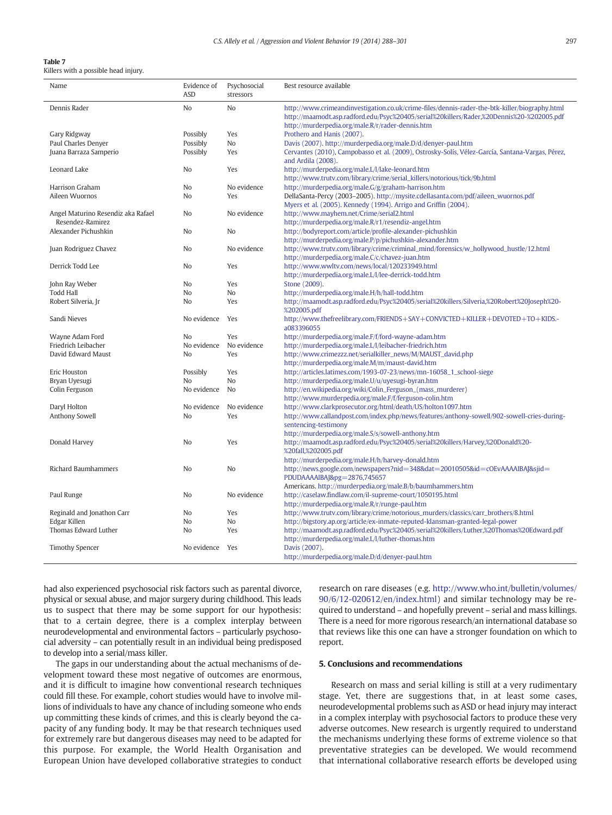Killers with a possible head injury.

| Name                               | Evidence of<br><b>ASD</b> | Psychosocial<br>stressors | Best resource available                                                                                                                                                                    |
|------------------------------------|---------------------------|---------------------------|--------------------------------------------------------------------------------------------------------------------------------------------------------------------------------------------|
| Dennis Rader                       | No                        | No                        |                                                                                                                                                                                            |
|                                    |                           |                           | http://www.crimeandinvestigation.co.uk/crime-files/dennis-rader-the-btk-killer/biography.html<br>http://maamodt.asp.radford.edu/Psyc%20405/serial%20killers/Rader,%20Dennis%20-%202005.pdf |
|                                    |                           |                           | http://murderpedia.org/male.R/r/rader-dennis.htm                                                                                                                                           |
| Gary Ridgway                       | Possibly                  | Yes                       | Prothero and Hanis (2007).                                                                                                                                                                 |
| Paul Charles Denyer                | Possibly                  | No                        | Davis (2007). http://murderpedia.org/male.D/d/denyer-paul.htm                                                                                                                              |
| Juana Barraza Samperio             | Possibly                  | Yes                       | Cervantes (2010), Campobasso et al. (2009), Ostrosky-Solís, Vélez-García, Santana-Vargas, Pérez,                                                                                           |
|                                    |                           |                           | and Ardila (2008).                                                                                                                                                                         |
| Leonard Lake                       | N <sub>0</sub>            | Yes                       | http://murderpedia.org/male.L/l/lake-leonard.htm                                                                                                                                           |
|                                    |                           |                           | http://www.trutv.com/library/crime/serial_killers/notorious/tick/9b.html                                                                                                                   |
| Harrison Graham                    | No                        | No evidence               | http://murderpedia.org/male.G/g/graham-harrison.htm                                                                                                                                        |
| Aileen Wuornos                     | N <sub>0</sub>            | Yes                       | DellaSanta-Percy (2003-2005). http://mysite.cdellasanta.com/pdf/aileen_wuornos.pdf                                                                                                         |
|                                    |                           |                           | Myers et al. (2005). Kennedy (1994). Arrigo and Griffin (2004).                                                                                                                            |
| Angel Maturino Resendiz aka Rafael | No                        | No evidence               | http://www.mayhem.net/Crime/serial2.html                                                                                                                                                   |
| Resendez-Ramirez                   |                           |                           | http://murderpedia.org/male.R/r1/resendiz-angel.htm                                                                                                                                        |
| Alexander Pichushkin               | No                        | No                        | http://bodyreport.com/article/profile-alexander-pichushkin                                                                                                                                 |
|                                    |                           |                           | http://murderpedia.org/male.P/p/pichushkin-alexander.htm                                                                                                                                   |
| Juan Rodriguez Chavez              | No                        | No evidence               | http://www.trutv.com/library/crime/criminal_mind/forensics/w_hollywood_hustle/12.html                                                                                                      |
|                                    |                           |                           | http://murderpedia.org/male.C/c/chavez-juan.htm                                                                                                                                            |
| Derrick Todd Lee                   | No.                       | Yes                       | http://www.wwltv.com/news/local/120233949.html                                                                                                                                             |
|                                    |                           |                           | http://murderpedia.org/male.L/l/lee-derrick-todd.htm                                                                                                                                       |
| John Ray Weber                     | No                        | Yes                       | Stone (2009).                                                                                                                                                                              |
| <b>Todd Hall</b>                   | No                        | N <sub>o</sub>            | http://murderpedia.org/male.H/h/hall-todd.htm                                                                                                                                              |
| Robert Silveria, Jr                | No                        | Yes                       | http://maamodt.asp.radford.edu/Psyc%20405/serial%20killers/Silveria,%20Robert%20Joseph%20-                                                                                                 |
|                                    |                           |                           | %202005.pdf                                                                                                                                                                                |
| Sandi Nieves                       | No evidence               | Yes                       | http://www.thefreelibrary.com/FRIENDS+SAY+CONVICTED+KILLER+DEVOTED+TO+KIDS.-<br>a083396055                                                                                                 |
| Wayne Adam Ford                    | N <sub>0</sub>            | Yes                       | http://murderpedia.org/male.F/f/ford-wayne-adam.htm                                                                                                                                        |
| Friedrich Leibacher                | No evidence               | No evidence               | http://murderpedia.org/male.L/l/leibacher-friedrich.htm                                                                                                                                    |
| David Edward Maust                 | N <sub>o</sub>            | Yes                       | http://www.crimezzz.net/serialkiller_news/M/MAUST_david.php                                                                                                                                |
|                                    |                           |                           | http://murderpedia.org/male.M/m/maust-david.htm                                                                                                                                            |
| Eric Houston                       | Possibly                  | Yes                       | http://articles.latimes.com/1993-07-23/news/mn-16058_1_school-siege                                                                                                                        |
| Bryan Uyesugi                      | No.                       | N <sub>o</sub>            | http://murderpedia.org/male.U/u/uyesugi-byran.htm                                                                                                                                          |
| Colin Ferguson                     | No evidence               | N <sub>o</sub>            | http://en.wikipedia.org/wiki/Colin_Ferguson_(mass_murderer)                                                                                                                                |
|                                    |                           |                           | http://www.murderpedia.org/male.F/f/ferguson-colin.htm                                                                                                                                     |
| Daryl Holton                       | No evidence               | No evidence               | http://www.clarkprosecutor.org/html/death/US/holton1097.htm                                                                                                                                |
| Anthony Sowell                     | N <sub>o</sub>            | Yes                       | http://www.callandpost.com/index.php/news/features/anthony-sowell/902-sowell-cries-during-                                                                                                 |
|                                    |                           |                           | sentencing-testimony                                                                                                                                                                       |
|                                    |                           |                           | http://murderpedia.org/male.S/s/sowell-anthony.htm                                                                                                                                         |
| Donald Harvey                      | N <sub>o</sub>            | Yes                       | http://maamodt.asp.radford.edu/Psyc%20405/serial%20killers/Harvey,%20Donald%20-<br>%20fall,%202005.pdf                                                                                     |
|                                    |                           |                           | http://murderpedia.org/male.H/h/harvey-donald.htm                                                                                                                                          |
| Richard Baumhammers                | No                        | No                        | http://news.google.com/newspapers?nid=348&dat=20010505&id=cOEvAAAAIBAJ&sjid=                                                                                                               |
|                                    |                           |                           | PDUDAAAAIBAJ&pg=2876,745657                                                                                                                                                                |
|                                    |                           |                           | Americans. http://murderpedia.org/male.B/b/baumhammers.htm                                                                                                                                 |
| Paul Runge                         | No                        | No evidence               | http://caselaw.findlaw.com/il-supreme-court/1050195.html                                                                                                                                   |
|                                    |                           |                           | http://murderpedia.org/male.R/r/runge-paul.htm                                                                                                                                             |
| Reginald and Jonathon Carr         | No                        | Yes                       | http://www.trutv.com/library/crime/notorious_murders/classics/carr_brothers/8.html                                                                                                         |
| Edgar Killen                       | N <sub>0</sub>            | N <sub>o</sub>            | http://bigstory.ap.org/article/ex-inmate-reputed-klansman-granted-legal-power                                                                                                              |
| Thomas Edward Luther               | N <sub>0</sub>            | Yes                       | http://maamodt.asp.radford.edu/Psyc%20405/serial%20killers/Luther,%20Thomas%20Edward.pdf                                                                                                   |
|                                    |                           |                           | http://murderpedia.org/male.L/l/luther-thomas.htm                                                                                                                                          |
| <b>Timothy Spencer</b>             | No evidence               | Yes                       | Davis (2007).                                                                                                                                                                              |
|                                    |                           |                           | http://murderpedia.org/male.D/d/denyer-paul.htm                                                                                                                                            |
|                                    |                           |                           |                                                                                                                                                                                            |

had also experienced psychosocial risk factors such as parental divorce, physical or sexual abuse, and major surgery during childhood. This leads us to suspect that there may be some support for our hypothesis: that to a certain degree, there is a complex interplay between neurodevelopmental and environmental factors – particularly psychosocial adversity – can potentially result in an individual being predisposed to develop into a serial/mass killer.

The gaps in our understanding about the actual mechanisms of development toward these most negative of outcomes are enormous, and it is difficult to imagine how conventional research techniques could fill these. For example, cohort studies would have to involve millions of individuals to have any chance of including someone who ends up committing these kinds of crimes, and this is clearly beyond the capacity of any funding body. It may be that research techniques used for extremely rare but dangerous diseases may need to be adapted for this purpose. For example, the World Health Organisation and European Union have developed collaborative strategies to conduct research on rare diseases (e.g. [http://www.who.int/bulletin/volumes/](http://www.who.int/bulletin/volumes/90/6/12-020612/en/index.html) [90/6/12-020612/en/index.html](http://www.who.int/bulletin/volumes/90/6/12-020612/en/index.html)) and similar technology may be required to understand – and hopefully prevent – serial and mass killings. There is a need for more rigorous research/an international database so that reviews like this one can have a stronger foundation on which to report.

#### 5. Conclusions and recommendations

Research on mass and serial killing is still at a very rudimentary stage. Yet, there are suggestions that, in at least some cases, neurodevelopmental problems such as ASD or head injury may interact in a complex interplay with psychosocial factors to produce these very adverse outcomes. New research is urgently required to understand the mechanisms underlying these forms of extreme violence so that preventative strategies can be developed. We would recommend that international collaborative research efforts be developed using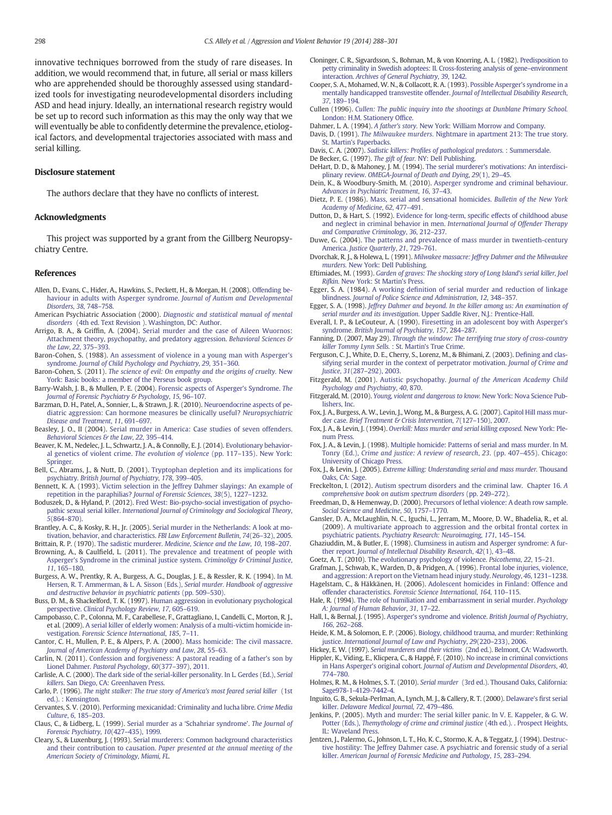<span id="page-11-0"></span>innovative techniques borrowed from the study of rare diseases. In addition, we would recommend that, in future, all serial or mass killers who are apprehended should be thoroughly assessed using standardized tools for investigating neurodevelopmental disorders including ASD and head injury. Ideally, an international research registry would be set up to record such information as this may the only way that we will eventually be able to confidently determine the prevalence, etiological factors, and developmental trajectories associated with mass and serial killing.

#### Disclosure statement

The authors declare that they have no conflicts of interest.

#### Acknowledgments

This project was supported by a grant from the Gillberg Neuropsychiatry Centre.

#### References

- Allen, D., Evans, C., Hider, A., Hawkins, S., Peckett, H., & Morgan, H. (2008). [Offending be](http://refhub.elsevier.com/S1359-1789(14)00030-5/rf0005)[haviour in adults with Asperger syndrome.](http://refhub.elsevier.com/S1359-1789(14)00030-5/rf0005) Journal of Autism and Developmental [Disorders](http://refhub.elsevier.com/S1359-1789(14)00030-5/rf0005), 38, 748–758.
- American Psychiatric Association (2000). [Diagnostic and statistical manual of mental](http://refhub.elsevier.com/S1359-1789(14)00030-5/rf0010) disorders [\(4th ed. Text Revision \). Washington, DC: Author.](http://refhub.elsevier.com/S1359-1789(14)00030-5/rf0010)
- Arrigo, B. A., & Griffin, A. (2004). [Serial murder and the case of Aileen Wuornos:](http://refhub.elsevier.com/S1359-1789(14)00030-5/rf0015) [Attachment theory, psychopathy, and predatory aggression.](http://refhub.elsevier.com/S1359-1789(14)00030-5/rf0015) Behavioral Sciences & [the Law](http://refhub.elsevier.com/S1359-1789(14)00030-5/rf0015), 22, 375–393.
- Baron-Cohen, S. (1988). [An assessment of violence in a young man with Asperger's](http://refhub.elsevier.com/S1359-1789(14)00030-5/rf0020) syndrome. [Journal of Child Psychology and Psychiatry](http://refhub.elsevier.com/S1359-1789(14)00030-5/rf0020), 29, 351–360.
- Baron-Cohen, S. (2011). [The science of evil: On empathy and the origins of cruelty.](http://refhub.elsevier.com/S1359-1789(14)00030-5/rf0025) New [York: Basic books: a member of the Perseus book group.](http://refhub.elsevier.com/S1359-1789(14)00030-5/rf0025)
- Barry-Walsh, J. B., & Mullen, P. E. (2004). [Forensic aspects of Asperger's Syndrome.](http://refhub.elsevier.com/S1359-1789(14)00030-5/rf0030) The [Journal of Forensic Psychiatry & Psychology](http://refhub.elsevier.com/S1359-1789(14)00030-5/rf0030), 15, 96–107.
- Barzman, D. H., Patel, A., Sonnier, L., & Strawn, J. R. (2010). [Neuroendocrine aspects of pe](http://refhub.elsevier.com/S1359-1789(14)00030-5/rf0035)[diatric aggression: Can hormone measures be clinically useful?](http://refhub.elsevier.com/S1359-1789(14)00030-5/rf0035) Neuropsychiatric [Disease and Treatment](http://refhub.elsevier.com/S1359-1789(14)00030-5/rf0035), 11, 691–697.
- Beasley, J. O., II (2004). [Serial murder in America: Case studies of seven offenders.](http://refhub.elsevier.com/S1359-1789(14)00030-5/rf0040) [Behavioral Sciences & the Law](http://refhub.elsevier.com/S1359-1789(14)00030-5/rf0040), 22, 395-414.
- Beaver, K. M., Nedelec, J. L., Schwartz, J. A., & Connolly, E. J. (2014). [Evolutionary behavior](http://refhub.elsevier.com/S1359-1789(14)00030-5/rf0045)[al genetics of violent crime.](http://refhub.elsevier.com/S1359-1789(14)00030-5/rf0045) The evolution of violence (pp. 117–135). New York: [Springer.](http://refhub.elsevier.com/S1359-1789(14)00030-5/rf0045)
- Bell, C., Abrams, J., & Nutt, D. (2001). [Tryptophan depletion and its implications for](http://refhub.elsevier.com/S1359-1789(14)00030-5/rf0050) psychiatry. [British Journal of Psychiatry](http://refhub.elsevier.com/S1359-1789(14)00030-5/rf0050), 178, 399–405.
- Bennett, K. A. (1993). [Victim selection in the Jeffrey Dahmer slayings: An example of](http://refhub.elsevier.com/S1359-1789(14)00030-5/rf0055) [repetition in the paraphilias?](http://refhub.elsevier.com/S1359-1789(14)00030-5/rf0055) Journal of Forensic Sciences, 38(5), 1227–1232.
- Boduszek, D., & Hyland, P. (2012). [Fred West: Bio-psycho-social investigation of psycho](http://refhub.elsevier.com/S1359-1789(14)00030-5/rf0060)pathic sexual serial killer. [International Journal of Criminology and Sociological Theory](http://refhub.elsevier.com/S1359-1789(14)00030-5/rf0060), 5(864–[870\).](http://refhub.elsevier.com/S1359-1789(14)00030-5/rf0060)
- Brantley, A. C., & Kosky, R. H., Jr. (2005). [Serial murder in the Netherlands: A look at mo](http://refhub.elsevier.com/S1359-1789(14)00030-5/rf0065)[tivation, behavior, and characteristics.](http://refhub.elsevier.com/S1359-1789(14)00030-5/rf0065) FBI Law Enforcement Bulletin, 74(26–32), 2005.
- Brittain, R. P. (1970). The sadistic murderer. [Medicine, Science and the Law](http://refhub.elsevier.com/S1359-1789(14)00030-5/rf0070), 10, 198–207. Browning, A., & Caulfield, L. (2011). [The prevalence and treatment of people with](http://refhub.elsevier.com/S1359-1789(14)00030-5/rf0075) [Asperger's Syndrome in the criminal justice system.](http://refhub.elsevier.com/S1359-1789(14)00030-5/rf0075) Criminoligy & Criminal Justice,
- 11[, 165](http://refhub.elsevier.com/S1359-1789(14)00030-5/rf0075)–180. Burgess, A. W., Prentky, R. A., Burgess, A. G., Douglas, J. E., & Ressler, R. K. (1994). [In M.](http://refhub.elsevier.com/S1359-1789(14)00030-5/rf0080)
- [Hersen, R. T. Ammerman, & L. A. Sisson \(Eds.\),](http://refhub.elsevier.com/S1359-1789(14)00030-5/rf0080) Serial murder. Handbook of aggressive [and destructive behavior in psychiatric patients](http://refhub.elsevier.com/S1359-1789(14)00030-5/rf0080) (pp. 509–530).
- Buss, D. M., & Shackelford, T. K. (1997). [Human aggression in evolutionary psychological](http://refhub.elsevier.com/S1359-1789(14)00030-5/rf0085) perspective. [Clinical Psychology Review](http://refhub.elsevier.com/S1359-1789(14)00030-5/rf0085), 17, 605–619. Campobasso, C. P., Colonna, M. F., Carabellese, F., Grattagliano, I., Candelli, C., Morton, R. J.,
- et al. (2009). [A serial killer of elderly women: Analysis of a multi-victim homicide in](http://refhub.elsevier.com/S1359-1789(14)00030-5/rf0090)vestigation. [Forensic Science International](http://refhub.elsevier.com/S1359-1789(14)00030-5/rf0090), 185, 7–11.
- Cantor, C. H., Mullen, P. E., & Alpers, P. A. (2000). [Mass homicide: The civil massacre.](http://refhub.elsevier.com/S1359-1789(14)00030-5/rf0095) [Journal of American Academy of Psychiatry and Law](http://refhub.elsevier.com/S1359-1789(14)00030-5/rf0095), 28, 55–63.
- Carlin, N. (2011). [Confession and forgiveness: A pastoral reading of a father's son by](http://refhub.elsevier.com/S1359-1789(14)00030-5/rf0100) Lionel Dahmer. [Pastoral Psychology](http://refhub.elsevier.com/S1359-1789(14)00030-5/rf0100), 60(377–397), 2011.
- Carlisle, A. C. (2000). [The dark side of the serial-killer personality. In L. Gerdes \(Ed.\),](http://refhub.elsevier.com/S1359-1789(14)00030-5/rf0105) Serial killers[. San Diego, CA: Greenhaven Press.](http://refhub.elsevier.com/S1359-1789(14)00030-5/rf0105)
- Carlo, P. (1996). [The night stalker: The true story of America's most feared serial killer](http://refhub.elsevier.com/S1359-1789(14)00030-5/rf0110) (1st [ed.\). : Kensington.](http://refhub.elsevier.com/S1359-1789(14)00030-5/rf0110)
- Cervantes, S. V. (2010). [Performing mexicanidad: Criminality and lucha libre.](http://refhub.elsevier.com/S1359-1789(14)00030-5/rf0115) Crime Media [Culture](http://refhub.elsevier.com/S1359-1789(14)00030-5/rf0115), 6, 185–203.
- Claus, C., & Lidberg, L. (1999). Serial murder as a '[Schahriar syndrome](http://refhub.elsevier.com/S1359-1789(14)00030-5/rf0120)'. The Journal of [Forensic Psychiatry](http://refhub.elsevier.com/S1359-1789(14)00030-5/rf0120), 10(427–435), 1999.
- Cleary, S., & Luxenburg, J. (1993). [Serial murderers: Common background characteristics](http://refhub.elsevier.com/S1359-1789(14)00030-5/rf0125) and their contribution to causation. [Paper presented at the annual meeting of the](http://refhub.elsevier.com/S1359-1789(14)00030-5/rf0125) [American Society of Criminology, Miami, FL](http://refhub.elsevier.com/S1359-1789(14)00030-5/rf0125).
- Cloninger, C. R., Sigvardsson, S., Bohman, M., & von Knorring, A. L. (1982). [Predisposition to](http://refhub.elsevier.com/S1359-1789(14)00030-5/rf0130) [petty criminality in Swedish adoptees: II. Cross-fostering analysis of gene](http://refhub.elsevier.com/S1359-1789(14)00030-5/rf0130)–environment interaction. [Archives of General Psychiatry](http://refhub.elsevier.com/S1359-1789(14)00030-5/rf0130), 39, 1242.
- Cooper, S. A., Mohamed, W. N., & Collacott, R. A. (1993). [Possible Asperger's syndrome in a](http://refhub.elsevier.com/S1359-1789(14)00030-5/rf0135) [mentally handicapped transvestite offender.](http://refhub.elsevier.com/S1359-1789(14)00030-5/rf0135) Journal of Intellectual Disability Research, 37[, 189](http://refhub.elsevier.com/S1359-1789(14)00030-5/rf0135)–194.
- Cullen (1996). [Cullen: The public inquiry into the shootings at Dunblane Primary School.](http://refhub.elsevier.com/S1359-1789(14)00030-5/rf0140) [London: H.M. Stationery Of](http://refhub.elsevier.com/S1359-1789(14)00030-5/rf0140)fice.
- Dahmer, L. A. (1994). A father's story. [New York: William Morrow and Company.](http://refhub.elsevier.com/S1359-1789(14)00030-5/rf0145)
- Davis, D. (1991). The Milwaukee murders. [Nightmare in apartment 213: The true story.](http://refhub.elsevier.com/S1359-1789(14)00030-5/rf0150) [St. Martin's Paperbacks.](http://refhub.elsevier.com/S1359-1789(14)00030-5/rf0150)
- Davis, C. A. (2007). Sadistic killers: Profi[les of pathological predators.](http://refhub.elsevier.com/S1359-1789(14)00030-5/rf0155) : Summersdale.
- De Becker, G. (1997). The gift of fear. [NY: Dell Publishing.](http://refhub.elsevier.com/S1359-1789(14)00030-5/rf0160)
- DeHart, D. D., & Mahoney, J. M. (1994). [The serial murderer's motivations: An interdisci](http://refhub.elsevier.com/S1359-1789(14)00030-5/rf0165)plinary review. [OMEGA-Journal of Death and Dying](http://refhub.elsevier.com/S1359-1789(14)00030-5/rf0165), 29(1), 29–45.
- Dein, K., & Woodbury-Smith, M. (2010). [Asperger syndrome and criminal behaviour.](http://refhub.elsevier.com/S1359-1789(14)00030-5/rf0170) [Advances in Psychiatric Treatment](http://refhub.elsevier.com/S1359-1789(14)00030-5/rf0170), 16, 37–43.
- Dietz, P. E. (1986). [Mass, serial and sensational homicides.](http://refhub.elsevier.com/S1359-1789(14)00030-5/rf0175) Bulletin of the New York [Academy of Medicine](http://refhub.elsevier.com/S1359-1789(14)00030-5/rf0175), 62, 477–491.
- Dutton, D., & Hart, S. (1992). [Evidence for long-term, speci](http://refhub.elsevier.com/S1359-1789(14)00030-5/rf0180)fic effects of childhood abuse [and neglect in criminal behavior in men.](http://refhub.elsevier.com/S1359-1789(14)00030-5/rf0180) International Journal of Offender Therapy [and Comparative Criminology](http://refhub.elsevier.com/S1359-1789(14)00030-5/rf0180), 36, 212–237.
- Duwe, G. (2004). [The patterns and prevalence of mass murder in twentieth-century](http://refhub.elsevier.com/S1359-1789(14)00030-5/rf0185) America. [Justice Quarterly](http://refhub.elsevier.com/S1359-1789(14)00030-5/rf0185), 21, 729–761.
- Dvorchak, R. J., & Holewa, L. (1991). [Milwakee massacre: Jeffrey Dahmer and the Milwaukee](http://refhub.elsevier.com/S1359-1789(14)00030-5/rf0190) murders. [New York: Dell Publishing.](http://refhub.elsevier.com/S1359-1789(14)00030-5/rf0190)
- Eftimiades, M. (1993). [Garden of graves: The shocking story of Long Island's serial killer, Joel](http://refhub.elsevier.com/S1359-1789(14)00030-5/rf0195) Rifkin. [New York: St Martin's Press.](http://refhub.elsevier.com/S1359-1789(14)00030-5/rf0195)
- Egger, S. A. (1984). A working defi[nition of serial murder and reduction of linkage](http://refhub.elsevier.com/S1359-1789(14)00030-5/rf0200) blindness. [Journal of Police Science and Administration](http://refhub.elsevier.com/S1359-1789(14)00030-5/rf0200), 12, 348–357.
- Egger, S. A. (1998). [Jeffrey Dahmer and beyond. In the killer among us: An examination of](http://refhub.elsevier.com/S1359-1789(14)00030-5/rf0205) serial murder and its investigation. [Upper Saddle River, N.J.: Prentice-Hall.](http://refhub.elsevier.com/S1359-1789(14)00030-5/rf0205)
- Everall, I. P., & LeCouteur, A. (1990). [Firesetting in an adolescent boy with Asperger's](http://refhub.elsevier.com/S1359-1789(14)00030-5/rf0210) syndrome. [British Journal of Psychiatry](http://refhub.elsevier.com/S1359-1789(14)00030-5/rf0210), 157, 284–287.
- Fanning, D. (2007, May 29). [Through the window: The terrifying true story of cross-country](http://refhub.elsevier.com/S1359-1789(14)00030-5/rf0215) killer Tommy Lynn Sells. [: St. Martin's True Crime.](http://refhub.elsevier.com/S1359-1789(14)00030-5/rf0215)
- Ferguson, C. J., White, D. E., Cherry, S., Lorenz, M., & Bhimani, Z. (2003). Defi[ning and clas](http://refhub.elsevier.com/S1359-1789(14)00030-5/rf0220)[sifying serial murder in the context of perpetrator motivation.](http://refhub.elsevier.com/S1359-1789(14)00030-5/rf0220) Journal of Crime and Justice, 31(287–[292\), 2003.](http://refhub.elsevier.com/S1359-1789(14)00030-5/rf0220)
- Fitzgerald, M. (2001). Autistic psychopathy. [Journal of the American Academy Child](http://refhub.elsevier.com/S1359-1789(14)00030-5/rf0225) [Psychology and Psychiatry](http://refhub.elsevier.com/S1359-1789(14)00030-5/rf0225), 40, 870.
- Fitzgerald, M. (2010). [Young, violent and dangerous to know.](http://refhub.elsevier.com/S1359-1789(14)00030-5/rf0230) New York: Nova Science Pub[lishers, Inc.](http://refhub.elsevier.com/S1359-1789(14)00030-5/rf0230)
- Fox, J. A., Burgess, A. W., Levin, J., Wong, M., & Burgess, A. G. (2007). [Capitol Hill mass mur-](http://refhub.elsevier.com/S1359-1789(14)00030-5/rf0235)der case. [Brief Treatment & Crisis Intervention](http://refhub.elsevier.com/S1359-1789(14)00030-5/rf0235), 7(127-150), 2007.
- Fox, J. A., & Levin, J. (1994). [Overkill: Mass murder and serial killing exposed.](http://refhub.elsevier.com/S1359-1789(14)00030-5/rf0240) New York: Ple[num Press.](http://refhub.elsevier.com/S1359-1789(14)00030-5/rf0240)
- Fox, J. A., & Levin, J. (1998). [Multiple homicide: Patterns of serial and mass murder. In M.](http://refhub.elsevier.com/S1359-1789(14)00030-5/rf0245) Tonry (Ed.), [Crime and justice: A review of research](http://refhub.elsevier.com/S1359-1789(14)00030-5/rf0245), 23. (pp. 407–455). Chicago: [University of Chicago Press.](http://refhub.elsevier.com/S1359-1789(14)00030-5/rf0245)
- Fox, J., & Levin, J. (2005). [Extreme killing: Understanding serial and mass murder.](http://refhub.elsevier.com/S1359-1789(14)00030-5/rf0250) Thousand [Oaks, CA: Sage.](http://refhub.elsevier.com/S1359-1789(14)00030-5/rf0250)
- Freckelton, I. (2012). [Autism spectrum disorders and the criminal law. Chapter 16.](http://refhub.elsevier.com/S1359-1789(14)00030-5/rf0255) A [comprehensive book on autism spectrum disorders](http://refhub.elsevier.com/S1359-1789(14)00030-5/rf0255) (pp. 249–272).
- Freedman, D., & Hemenway, D. (2000). [Precursors of lethal violence: A death row sample.](http://refhub.elsevier.com/S1359-1789(14)00030-5/rf0260) [Social Science and Medicine](http://refhub.elsevier.com/S1359-1789(14)00030-5/rf0260), 50, 1757–1770.
- Gansler, D. A., McLaughlin, N. C., Iguchi, L., Jerram, M., Moore, D. W., Bhadelia, R., et al. (2009). [A multivariate approach to aggression and the orbital frontal cortex in](http://refhub.elsevier.com/S1359-1789(14)00030-5/rf0265) psychiatric patients. [Psychiatry Research: Neuroimaging](http://refhub.elsevier.com/S1359-1789(14)00030-5/rf0265), 171, 145–154.
- Ghaziuddin, M., & Butler, E. (1998). [Clumsiness in autism and Asperger syndrome: A fur](http://refhub.elsevier.com/S1359-1789(14)00030-5/rf0270)ther report. [Journal of Intellectual Disability Research](http://refhub.elsevier.com/S1359-1789(14)00030-5/rf0270), 42(1), 43–48.
- Goetz, A. T. (2010). [The evolutionary psychology of violence.](http://refhub.elsevier.com/S1359-1789(14)00030-5/rf0275) Psicothema, 22, 15–21.
- Grafman, J., Schwab, K., Warden, D., & Pridgen, A. (1996). [Frontal lobe injuries, violence,](http://refhub.elsevier.com/S1359-1789(14)00030-5/rf0280) [and aggression: A report on the Vietnam head injury study.](http://refhub.elsevier.com/S1359-1789(14)00030-5/rf0280) Neurology, 46, 1231-1238.

Hagelstam, C., & Häkkänen, H. (2006). [Adolescent homicides in Finland: Offence and](http://refhub.elsevier.com/S1359-1789(14)00030-5/rf0285) offender characteristics. [Forensic Science International](http://refhub.elsevier.com/S1359-1789(14)00030-5/rf0285), 164, 110–115.

- Hale, R. (1994). [The role of humiliation and embarrassment in serial murder.](http://refhub.elsevier.com/S1359-1789(14)00030-5/rf0290) Psychology [A: Journal of Human Behavior](http://refhub.elsevier.com/S1359-1789(14)00030-5/rf0290), 31, 17–22.
- Hall, I., & Bernal, J. (1995). [Asperger's syndrome and violence.](http://refhub.elsevier.com/S1359-1789(14)00030-5/rf0295) British Journal of Psychiatry, 166[, 262](http://refhub.elsevier.com/S1359-1789(14)00030-5/rf0295)–268.
- Heide, K. M., & Solomon, E. P. (2006). [Biology, childhood trauma, and murder: Rethinking](http://refhub.elsevier.com/S1359-1789(14)00030-5/rf0300) justice. [International Journal of Law and Psychiatry](http://refhub.elsevier.com/S1359-1789(14)00030-5/rf0300), 29(220–233), 2006.
- Hickey, E. W. (1997). Serial murderers and their victims [\(2nd ed.\). Belmont, CA: Wadsworth.](http://refhub.elsevier.com/S1359-1789(14)00030-5/rf0305)

Hippler, K., Viding, E., Klicpera, C., & Happé, F. (2010). [No increase in criminal convictions](http://refhub.elsevier.com/S1359-1789(14)00030-5/rf0310) in Hans Asperger's original cohort. [Journal of Autism and Developmental Disorders](http://refhub.elsevier.com/S1359-1789(14)00030-5/rf0310), 40, 774–[780.](http://refhub.elsevier.com/S1359-1789(14)00030-5/rf0310)

- Holmes, R. M., & Holmes, S. T. (2010). Serial murder [\(3rd ed.\). Thousand Oaks, California:](http://refhub.elsevier.com/S1359-1789(14)00030-5/rf0315) [Sage978-1-4129-7442-4.](http://refhub.elsevier.com/S1359-1789(14)00030-5/rf0315)
- Inguito, G. B., Sekula-Perlman, A., Lynch, M. J., & Callery, R. T. (2000). [Delaware's](http://refhub.elsevier.com/S1359-1789(14)00030-5/rf0320) first serial killer. [Delaware Medical Journal](http://refhub.elsevier.com/S1359-1789(14)00030-5/rf0320), 72, 479–486.
- Jenkins, P. (2005). [Myth and murder: The serial killer panic. In V. E. Kappeler, & G. W.](http://refhub.elsevier.com/S1359-1789(14)00030-5/rf0325) Potter (Eds.), [Themythology of crime and criminal justice](http://refhub.elsevier.com/S1359-1789(14)00030-5/rf0325) (4th ed.). . Prospect Heights, [IL: Waveland Press.](http://refhub.elsevier.com/S1359-1789(14)00030-5/rf0325)
- Jentzen, J., Palermo, G., Johnson, L. T., Ho, K. C., Stormo, K. A., & Teggatz, J. (1994). [Destruc](http://refhub.elsevier.com/S1359-1789(14)00030-5/rf0330)[tive hostility: The Jeffrey Dahmer case. A psychiatric and forensic study of a serial](http://refhub.elsevier.com/S1359-1789(14)00030-5/rf0330) killer. [American Journal of Forensic Medicine and Pathology](http://refhub.elsevier.com/S1359-1789(14)00030-5/rf0330), 15, 283–294.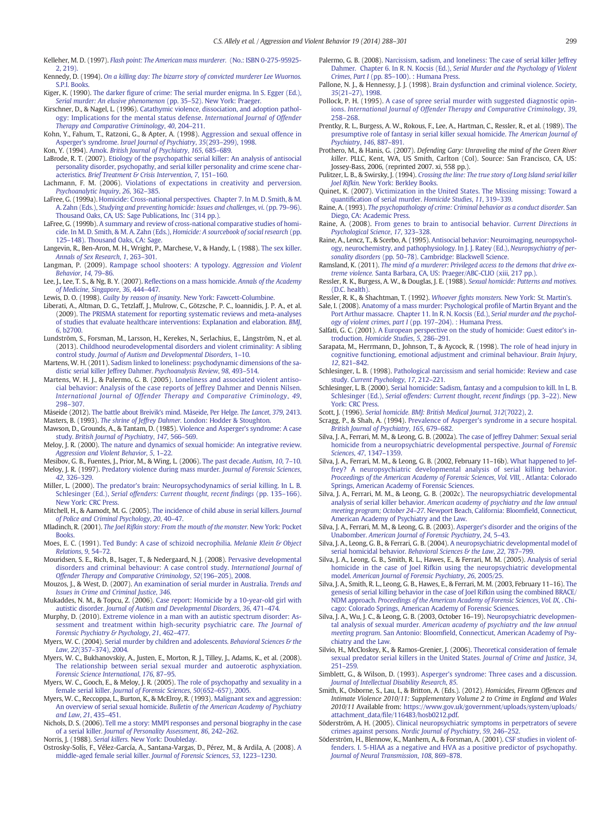<span id="page-12-0"></span>Kelleher, M. D. (1997). [Flash point: The American mass murderer.](http://refhub.elsevier.com/S1359-1789(14)00030-5/rf0335) (No.: ISBN 0-275-95925- [2, 219\).](http://refhub.elsevier.com/S1359-1789(14)00030-5/rf0335)

Kennedy, D. (1994). [On a killing day: The bizarre story of convicted murderer Lee Wuornos.](http://refhub.elsevier.com/S1359-1789(14)00030-5/rf0340) [S.P.I. Books.](http://refhub.elsevier.com/S1359-1789(14)00030-5/rf0340)

- Kiger, K. (1990). The darker fi[gure of crime: The serial murder enigma. In S. Egger \(Ed.\),](http://refhub.elsevier.com/S1359-1789(14)00030-5/rf0345)
- [Serial murder: An elusive phenomenon](http://refhub.elsevier.com/S1359-1789(14)00030-5/rf0345) (pp. 35–52). New York: Praeger. Kirschner, D., & Nagel, L. (1996). [Catathymic violence, dissociation, and adoption pathol](http://refhub.elsevier.com/S1359-1789(14)00030-5/rf0350)[ogy: Implications for the mental status defense.](http://refhub.elsevier.com/S1359-1789(14)00030-5/rf0350) International Journal of Offender [Therapy and Comparative Criminology](http://refhub.elsevier.com/S1359-1789(14)00030-5/rf0350), 40, 204–211.

Kohn, Y., Fahum, T., Ratzoni, G., & Apter, A. (1998). [Aggression and sexual offence in](http://refhub.elsevier.com/S1359-1789(14)00030-5/rf0355) Asperger's syndrome. [Israel Journal of Psychiatry](http://refhub.elsevier.com/S1359-1789(14)00030-5/rf0355), 35(293–299), 1998.

- Kon, Y. (1994). Amok. [British Journal of Psychiatry](http://refhub.elsevier.com/S1359-1789(14)00030-5/rf0360), 165, 685–689.
- LaBrode, R. T. (2007). [Etiology of the psychopathic serial killer: An analysis of antisocial](http://refhub.elsevier.com/S1359-1789(14)00030-5/rf0365) [personality disorder, psychopathy, and serial killer personality and crime scene char](http://refhub.elsevier.com/S1359-1789(14)00030-5/rf0365)acteristics. [Brief Treatment & Crisis Intervention](http://refhub.elsevier.com/S1359-1789(14)00030-5/rf0365), 7, 151–160.
- Lachmann, F. M. (2006). [Violations of expectations in creativity and perversion.](http://refhub.elsevier.com/S1359-1789(14)00030-5/rf0370) [Psychoanalytic Inquiry](http://refhub.elsevier.com/S1359-1789(14)00030-5/rf0370), 26, 362–385.
- LaFree, G. (1999a). [Homicide: Cross-national perspectives. Chapter 7. In M. D. Smith, & M.](http://refhub.elsevier.com/S1359-1789(14)00030-5/rf0375) A. Zahn (Eds.), [Studying and preventing homicide: Issues and challenges](http://refhub.elsevier.com/S1359-1789(14)00030-5/rf0375), vi. (pp. 79–96). [Thousand Oaks, CA, US: Sage Publications, Inc \(314 pp.\).](http://refhub.elsevier.com/S1359-1789(14)00030-5/rf0375)
- LaFree, G. (1999b). [A summary and review of cross-national comparative studies of homi](http://refhub.elsevier.com/S1359-1789(14)00030-5/rf0380)cide. In M. D. Smith, & M. A. Zahn (Eds.), [Homicide: A sourcebook of social research](http://refhub.elsevier.com/S1359-1789(14)00030-5/rf0380) (pp. 125–[148\). Thousand Oaks, CA: Sage.](http://refhub.elsevier.com/S1359-1789(14)00030-5/rf0380)
- Langevin, R., Ben-Aron, M. H., Wright, P., Marchese, V., & Handy, L. (1988). [The sex killer.](http://refhub.elsevier.com/S1359-1789(14)00030-5/rf0385) [Annals of Sex Research](http://refhub.elsevier.com/S1359-1789(14)00030-5/rf0385), 1, 263–301.
- Langman, P. (2009). [Rampage school shooters: A typology.](http://refhub.elsevier.com/S1359-1789(14)00030-5/rf0390) Aggression and Violent [Behavior](http://refhub.elsevier.com/S1359-1789(14)00030-5/rf0390), 14, 79–86.
- Lee, J., Lee, T. S., & Ng, B. Y. (2007). Refl[ections on a mass homicide.](http://refhub.elsevier.com/S1359-1789(14)00030-5/rf0395) Annals of the Academy [of Medicine, Singapore](http://refhub.elsevier.com/S1359-1789(14)00030-5/rf0395), 36, 444–447.
- Lewis, D. O. (1998). Guilty by reason of insanity. [New York: Fawcett-Columbine.](http://refhub.elsevier.com/S1359-1789(14)00030-5/rf0400)
- Liberati, A., Altman, D. G., Tetzlaff, J., Mulrow, C., Götzsche, P. C., Ioannidis, J. P. A., et al. (2009). [The PRISMA statement for reporting systematic reviews and meta-analyses](http://refhub.elsevier.com/S1359-1789(14)00030-5/rf0405) [of studies that evaluate healthcare interventions: Explanation and elaboration.](http://refhub.elsevier.com/S1359-1789(14)00030-5/rf0405) BMJ, 6[, b2700.](http://refhub.elsevier.com/S1359-1789(14)00030-5/rf0405)
- Lundström, S., Forsman, M., Larsson, H., Kerekes, N., Serlachius, E., Långström, N., et al. (2013). [Childhood neurodevelopmental disorders and violent criminality: A sibling](http://refhub.elsevier.com/S1359-1789(14)00030-5/rf0410) control study. [Journal of Autism and Developmental Disorders](http://refhub.elsevier.com/S1359-1789(14)00030-5/rf0410), 1–10.
- Martens, W. H. (2011). [Sadism linked to loneliness: psychodynamic dimensions of the sa](http://refhub.elsevier.com/S1359-1789(14)00030-5/rf0415)[distic serial killer Jeffrey Dahmer.](http://refhub.elsevier.com/S1359-1789(14)00030-5/rf0415) Psychoanalysis Review, 98, 493–514.
- Martens, W. H. J., & Palermo, G. B. (2005). [Loneliness and associated violent antiso](http://refhub.elsevier.com/S1359-1789(14)00030-5/rf0420)[cial behavior: Analysis of the case reports of Jeffrey Dahmer and Dennis Nilsen.](http://refhub.elsevier.com/S1359-1789(14)00030-5/rf0420) [International Journal of Offender Therapy and Comparative Criminology](http://refhub.elsevier.com/S1359-1789(14)00030-5/rf0420), 49, 298–[307.](http://refhub.elsevier.com/S1359-1789(14)00030-5/rf0420)
- Måseide (2012). [The battle about Breivik's mind. Måseide, Per Helge.](http://refhub.elsevier.com/S1359-1789(14)00030-5/rf0425) The Lancet, 379, 2413.
- Masters, B. (1993). The shrine of Jeffrey Dahmer. [London: Hodder & Stoughton.](http://refhub.elsevier.com/S1359-1789(14)00030-5/rf0430) Mawson, D., Grounds, A., & Tantam, D. (1985). [Violence and Asperger's syndrome: A case](http://refhub.elsevier.com/S1359-1789(14)00030-5/rf0435)
- study. [British Journal of Psychiatry](http://refhub.elsevier.com/S1359-1789(14)00030-5/rf0435), 147, 566–569. Meloy, J. R. (2000). [The nature and dynamics of sexual homicide: An integrative review.](http://refhub.elsevier.com/S1359-1789(14)00030-5/rf0440) [Aggression and Violent Behavior](http://refhub.elsevier.com/S1359-1789(14)00030-5/rf0440), 5, 1–22.
- Mesibov, G. B., Fuentes, J., Prior, M., & Wing, L. (2006). [The past decade.](http://refhub.elsevier.com/S1359-1789(14)00030-5/rf0445) Autism, 10, 7–10. Meloy, J. R. (1997). [Predatory violence during mass murder.](http://refhub.elsevier.com/S1359-1789(14)00030-5/rf0450) Journal of Forensic Sciences,
- 42[, 326](http://refhub.elsevier.com/S1359-1789(14)00030-5/rf0450)–329. Miller, L. (2000). [The predator's brain: Neuropsychodynamics of serial killing. In L. B.](http://refhub.elsevier.com/S1359-1789(14)00030-5/rf0455)
- Schlesinger (Ed.), [Serial offenders: Current thought, recent](http://refhub.elsevier.com/S1359-1789(14)00030-5/rf0455) findings (pp. 135–166). [New York: CRC Press.](http://refhub.elsevier.com/S1359-1789(14)00030-5/rf0455) Mitchell, H., & Aamodt, M. G. (2005). [The incidence of child abuse in serial killers.](http://refhub.elsevier.com/S1359-1789(14)00030-5/rf0460) Journal
- [of Police and Criminal Psychology](http://refhub.elsevier.com/S1359-1789(14)00030-5/rf0460), 20, 40–47.
- Mladinch, R. (2001). [The Joel Rifkin story: From the mouth of the monster.](http://refhub.elsevier.com/S1359-1789(14)00030-5/rf0465) New York: Pocket **Books**
- Moes, E. C. (1991). [Ted Bundy: A case of schizoid necrophilia.](http://refhub.elsevier.com/S1359-1789(14)00030-5/rf0470) Melanie Klein & Object [Relations](http://refhub.elsevier.com/S1359-1789(14)00030-5/rf0470), 9, 54–72.
- Mouridsen, S. E., Rich, B., Isager, T., & Nedergaard, N. J. (2008). [Pervasive developmental](http://refhub.elsevier.com/S1359-1789(14)00030-5/rf0475) [disorders and criminal behaviour: A case control study.](http://refhub.elsevier.com/S1359-1789(14)00030-5/rf0475) International Journal of [Offender Therapy and Comparative Criminology](http://refhub.elsevier.com/S1359-1789(14)00030-5/rf0475), 52(196–205), 2008.
- Mouzos, J., & West, D. (2007). [An examination of serial murder in Australia.](http://refhub.elsevier.com/S1359-1789(14)00030-5/rf0480) Trends and [Issues in Crime and Criminal Justice](http://refhub.elsevier.com/S1359-1789(14)00030-5/rf0480), 346.
- Mukaddes, N. M., & Topcu, Z. (2006). [Case report: Homicide by a 10-year-old girl with](http://refhub.elsevier.com/S1359-1789(14)00030-5/rf0485) autistic disorder. [Journal of Autism and Developmental Disorders](http://refhub.elsevier.com/S1359-1789(14)00030-5/rf0485), 36, 471–474.
- Murphy, D. (2010). [Extreme violence in a man with an autistic spectrum disorder: As](http://refhub.elsevier.com/S1359-1789(14)00030-5/rf0490)[sessment and treatment within high-security psychiatric care.](http://refhub.elsevier.com/S1359-1789(14)00030-5/rf0490) The Journal of [Forensic Psychiatry & Psychology](http://refhub.elsevier.com/S1359-1789(14)00030-5/rf0490), 21, 462–477.
- Myers, W. C. (2004). [Serial murder by children and adolescents.](http://refhub.elsevier.com/S1359-1789(14)00030-5/rf0495) Behavioral Sciences & the Law, 22(357–[374\), 2004.](http://refhub.elsevier.com/S1359-1789(14)00030-5/rf0495)
- Myers, W. C., Bukhanovskiy, A., Justen, E., Morton, R. J., Tilley, J., Adams, K., et al. (2008). [The relationship between serial sexual murder and autoerotic asphyxiation.](http://refhub.elsevier.com/S1359-1789(14)00030-5/rf0500) [Forensic Science International](http://refhub.elsevier.com/S1359-1789(14)00030-5/rf0500), 176, 87–95.
- Myers, W. C., Gooch, E., & Meloy, J. R. (2005). [The role of psychopathy and sexuality in a](http://refhub.elsevier.com/S1359-1789(14)00030-5/rf0505) female serial killer. [Journal of Forensic Sciences](http://refhub.elsevier.com/S1359-1789(14)00030-5/rf0505), 50(652–657), 2005.
- Myers, W. C., Reccoppa, L., Burton, K., & McElroy, R. (1993). [Malignant sex and aggression:](http://refhub.elsevier.com/S1359-1789(14)00030-5/rf0510) An overview of serial sexual homicide. [Bulletin of the American Academy of Psychiatry](http://refhub.elsevier.com/S1359-1789(14)00030-5/rf0510) [and Law](http://refhub.elsevier.com/S1359-1789(14)00030-5/rf0510), 21, 435–451.
- Nichols, D. S. (2006). [Tell me a story: MMPI responses and personal biography in the case](http://refhub.elsevier.com/S1359-1789(14)00030-5/rf0515) of a serial killer. [Journal of Personality Assessment](http://refhub.elsevier.com/S1359-1789(14)00030-5/rf0515), 86, 242–262.
- Norris, J. (1988). Serial killers. [New York: Doubleday.](http://refhub.elsevier.com/S1359-1789(14)00030-5/rf0520)
- Ostrosky-Solís, F., Vélez-García, A., Santana-Vargas, D., Pérez, M., & Ardila, A. (2008). [A](http://refhub.elsevier.com/S1359-1789(14)00030-5/rf0525) [middle-aged female serial killer.](http://refhub.elsevier.com/S1359-1789(14)00030-5/rf0525) Journal of Forensic Sciences, 53, 1223–1230.
- Palermo, G. B. (2008). [Narcissism, sadism, and loneliness: The case of serial killer Jeffrey](http://refhub.elsevier.com/S1359-1789(14)00030-5/rf0530) Dahmer. Chapter 6. In R. N. Kocsis (Ed.), [Serial Murder and the Psychology of Violent](http://refhub.elsevier.com/S1359-1789(14)00030-5/rf0530) Crimes, Part I (pp. 85–[100\). : Humana Press.](http://refhub.elsevier.com/S1359-1789(14)00030-5/rf0530)
- Pallone, N. J., & Hennessy, J. J. (1998). [Brain dysfunction and criminal violence.](http://refhub.elsevier.com/S1359-1789(14)00030-5/rf0535) Society, 35(21–[27\), 1998.](http://refhub.elsevier.com/S1359-1789(14)00030-5/rf0535)
- Pollock, P. H. (1995). [A case of spree serial murder with suggested diagnostic opin](http://refhub.elsevier.com/S1359-1789(14)00030-5/rf0540)ions. [International Journal of Offender Therapy and Comparative Criminology](http://refhub.elsevier.com/S1359-1789(14)00030-5/rf0540), 39, 258–[268.](http://refhub.elsevier.com/S1359-1789(14)00030-5/rf0540)
- Prentky, R. L., Burgess, A. W., Rokous, F., Lee, A., Hartman, C., Ressler, R., et al. (1989). [The](http://refhub.elsevier.com/S1359-1789(14)00030-5/rf0545) [presumptive role of fantasy in serial killer sexual homicide.](http://refhub.elsevier.com/S1359-1789(14)00030-5/rf0545) The American Journal of [Psychiatry](http://refhub.elsevier.com/S1359-1789(14)00030-5/rf0545), 146, 887–891.
- Prothero, M., & Hanis, G. (2007). Defending Gary: Unraveling the mind of the Green River killer. PLLC, Kent, WA, US Smith, Carlton (Col). Source: San Francisco, CA, US: Jossey-Bass, 2006, (reprinted 2007. xi, 558 pp.).
- Pulitzer, L. B., & Swirsky, J. (1994). [Crossing the line: The true story of Long Island serial killer](http://refhub.elsevier.com/S1359-1789(14)00030-5/rf0550) Joel Rifkin. [New York: Berkley Books.](http://refhub.elsevier.com/S1359-1789(14)00030-5/rf0550)
- Quinet, K. (2007). [Victimization in the United States. The Missing missing: Toward a](http://refhub.elsevier.com/S1359-1789(14)00030-5/rf0555) quantifi[cation of serial murder.](http://refhub.elsevier.com/S1359-1789(14)00030-5/rf0555) Homicide Studies, 11, 319–339.
- Raine, A. (1993). [The psychopathology of crime: Criminal behavior as a conduct disorder.](http://refhub.elsevier.com/S1359-1789(14)00030-5/rf0560) San [Diego, CA: Academic Press.](http://refhub.elsevier.com/S1359-1789(14)00030-5/rf0560)
- Raine, A. (2008). [From genes to brain to antisocial behavior.](http://refhub.elsevier.com/S1359-1789(14)00030-5/rf0565) Current Directions in [Psychological Science](http://refhub.elsevier.com/S1359-1789(14)00030-5/rf0565), 17, 323–328.
- Raine, A., Lencz, T., & Scerbo, A. (1995). [Antisocial behavior: Neuroimaging, neuropsychol](http://refhub.elsevier.com/S1359-1789(14)00030-5/rf0570)[ogy, neurochemistry, and pathophysiology. In J. J. Ratey \(Ed.\),](http://refhub.elsevier.com/S1359-1789(14)00030-5/rf0570) Neuropsychiatry of personality disorders (pp. 50–[78\). Cambridge: Blackwell Science.](http://refhub.elsevier.com/S1359-1789(14)00030-5/rf0570)
- Ramsland, K. (2011). [The mind of a murderer: Privileged access to the demons that drive ex](http://refhub.elsevier.com/S1359-1789(14)00030-5/rf0575)treme violence. [Santa Barbara, CA, US: Praeger/ABC-CLIO \(xiii, 217 pp.\).](http://refhub.elsevier.com/S1359-1789(14)00030-5/rf0575)
- Ressler, R. K., Burgess, A. W., & Douglas, J. E. (1988). [Sexual homicide: Patterns and motives.](http://refhub.elsevier.com/S1359-1789(14)00030-5/rf0580) [\(D.C. health\).](http://refhub.elsevier.com/S1359-1789(14)00030-5/rf0580)
- Ressler, R. K., & Shachtman, T. (1992). Whoever fights monsters. [New York: St. Martin](http://refhub.elsevier.com/S1359-1789(14)00030-5/rf0585)'s.
- Sale, I. (2008). [Anatomy of a mass murder: Psychological pro](http://refhub.elsevier.com/S1359-1789(14)00030-5/rf0595)file of Martin Bryant and the [Port Arthur massacre. Chapter 11. In R. N. Kocsis \(Ed.\),](http://refhub.elsevier.com/S1359-1789(14)00030-5/rf0595) Serial murder and the psychol[ogy of violent crimes, part I](http://refhub.elsevier.com/S1359-1789(14)00030-5/rf0595) (pp. 197–204). : Humana Press.
- Salfati, G. C. (2001). [A European perspective on the study of homicide: Guest editor's in](http://refhub.elsevier.com/S1359-1789(14)00030-5/rf0600)troduction. [Homicide Studies](http://refhub.elsevier.com/S1359-1789(14)00030-5/rf0600), 5, 286–291.
- Sarapata, M., Herrmann, D., Johnson, T., & Aycock, R. (1998). [The role of head injury in](http://refhub.elsevier.com/S1359-1789(14)00030-5/rf0605) [cognitive functioning, emotional adjustment and criminal behaviour.](http://refhub.elsevier.com/S1359-1789(14)00030-5/rf0605) Brain Injury, 12[, 821](http://refhub.elsevier.com/S1359-1789(14)00030-5/rf0605)–842.
- Schlesinger, L. B. (1998). [Pathological narcissism and serial homicide: Review and case](http://refhub.elsevier.com/S1359-1789(14)00030-5/rf0610) study. [Current Psychology](http://refhub.elsevier.com/S1359-1789(14)00030-5/rf0610), 17, 212–221.
- Schlesinger, L. B. (2000). [Serial homicide: Sadism, fantasy and a compulsion to kill. In L. B.](http://refhub.elsevier.com/S1359-1789(14)00030-5/rf0615) Schlesinger (Ed.), [Serial offenders: Current thought, recent](http://refhub.elsevier.com/S1359-1789(14)00030-5/rf0615) findings (pp. 3-22). New [York: CRC Press.](http://refhub.elsevier.com/S1359-1789(14)00030-5/rf0615)
- Scott, J. (1996). [Serial homicide. BMJ: British Medical Journal](http://refhub.elsevier.com/S1359-1789(14)00030-5/rf0620), 312(7022), 2.
- Scragg, P., & Shah, A. (1994). [Prevalence of Asperger's syndrome in a secure hospital.](http://refhub.elsevier.com/S1359-1789(14)00030-5/rf0625) [British Journal of Psychiatry](http://refhub.elsevier.com/S1359-1789(14)00030-5/rf0625), 165, 679–682.
- Silva, J. A., Ferrari, M. M., & Leong, G. B. (2002a). [The case of Jeffrey Dahmer: Sexual serial](http://refhub.elsevier.com/S1359-1789(14)00030-5/rf0630) [homicide from a neuropsychiatric developmental perspective.](http://refhub.elsevier.com/S1359-1789(14)00030-5/rf0630) Journal of Forensic [Sciences](http://refhub.elsevier.com/S1359-1789(14)00030-5/rf0630), 47, 1347–1359.
- Silva, J. A., Ferrari, M. M., & Leong, G. B. (2002, February 11–16b). [What happened to Jef](http://refhub.elsevier.com/S1359-1789(14)00030-5/rf0635)[frey? A neuropsychiatric developmental analysis of serial killing behavior.](http://refhub.elsevier.com/S1359-1789(14)00030-5/rf0635) [Proceedings of the American Academy of Forensic Sciences](http://refhub.elsevier.com/S1359-1789(14)00030-5/rf0635), Vol. VIII, . Atlanta: Colorado [Springs, American Academy of Forensic Sciences.](http://refhub.elsevier.com/S1359-1789(14)00030-5/rf0635)
- Silva, J. A., Ferrari, M. M., & Leong, G. B. (2002c). [The neuropsychiatric developmental](http://refhub.elsevier.com/S1359-1789(14)00030-5/rf0640) analysis of serial killer behavior. [American academy of psychiatry and the law annual](http://refhub.elsevier.com/S1359-1789(14)00030-5/rf0640) meeting program; October 24–27[. Newport Beach, California: Bloom](http://refhub.elsevier.com/S1359-1789(14)00030-5/rf0640)field, Connecticut, [American Academy of Psychiatry and the Law.](http://refhub.elsevier.com/S1359-1789(14)00030-5/rf0640)
- Silva, J. A., Ferrari, M. M., & Leong, G. B. (2003). [Asperger's disorder and the origins of the](http://refhub.elsevier.com/S1359-1789(14)00030-5/rf0645) Unabomber. [American Journal of Forensic Psychiatry](http://refhub.elsevier.com/S1359-1789(14)00030-5/rf0645), 24, 5–43.
- Silva, J. A., Leong, G. B., & Ferrari, G. B. (2004). [A neuropsychiatric developmental model of](http://refhub.elsevier.com/S1359-1789(14)00030-5/rf0650) serial homicidal behavior. [Behavioral Sciences & the Law](http://refhub.elsevier.com/S1359-1789(14)00030-5/rf0650), 22, 787-799.
- Silva, J. A., Leong, G. B., Smith, R. L., Hawes, E., & Ferrari, M. M. (2005). [Analysis of serial](http://refhub.elsevier.com/S1359-1789(14)00030-5/rf0655) [homicide in the case of Joel Rifkin using the neuropsychiatric developmental](http://refhub.elsevier.com/S1359-1789(14)00030-5/rf0655) model. [American Journal of Forensic Psychiatry](http://refhub.elsevier.com/S1359-1789(14)00030-5/rf0655), 26, 2005/25.
- Silva, J. A., Smith, R. L., Leong, G. B., Hawes, E., & Ferrari, M. M. (2003, February 11–16). [The](http://refhub.elsevier.com/S1359-1789(14)00030-5/rf0660) [genesis of serial killing behavior in the case of Joel Rifkin using the combined BRACE/](http://refhub.elsevier.com/S1359-1789(14)00030-5/rf0660) NDM approach. [Proceedings of the American Academy of Forensic Sciences](http://refhub.elsevier.com/S1359-1789(14)00030-5/rf0660), Vol. IX, . Chi[cago: Colorado Springs, American Academy of Forensic Sciences.](http://refhub.elsevier.com/S1359-1789(14)00030-5/rf0660)
- Silva, J. A., Wu, J. C., & Leong, G. B. (2003, October 16–19). [Neuropsychiatric developmen](http://refhub.elsevier.com/S1359-1789(14)00030-5/rf0665)tal analysis of sexual murder. [American academy of psychiatry and the law annual](http://refhub.elsevier.com/S1359-1789(14)00030-5/rf0665) meeting program. San Antonio: Bloomfi[eld, Connecticut, American Academy of Psy](http://refhub.elsevier.com/S1359-1789(14)00030-5/rf0665)[chiatry and the Law.](http://refhub.elsevier.com/S1359-1789(14)00030-5/rf0665)
- Silvio, H., McCloskey, K., & Ramos-Grenier, J. (2006). [Theoretical consideration of female](http://refhub.elsevier.com/S1359-1789(14)00030-5/rf0670) [sexual predator serial killers in the United States.](http://refhub.elsevier.com/S1359-1789(14)00030-5/rf0670) Journal of Crime and Justice, 34, 251–[259.](http://refhub.elsevier.com/S1359-1789(14)00030-5/rf0670)
- Simblett, G., & Wilson, D. (1993). [Asperger's syndrome: Three cases and a discussion.](http://refhub.elsevier.com/S1359-1789(14)00030-5/rf0675) [Journal of Intellectual Disability Research](http://refhub.elsevier.com/S1359-1789(14)00030-5/rf0675), 85.
- Smith, K., Osborne, S., Lau, I., & Britton, A. (Eds.). (2012). Homicides, Firearm Offences and Intimate Violence 2010/11: Supplementary Volume 2 to Crime in England and Wales 2010/11 Available from: [https://www.gov.uk/government/uploads/system/uploads/](https://www.gov.uk/government/uploads/system/uploads/attachment_data/file/116483/hosb0212.pdf) attachment\_data/fi[le/116483/hosb0212.pdf](https://www.gov.uk/government/uploads/system/uploads/attachment_data/file/116483/hosb0212.pdf).
- Söderström, A. H. (2005). [Clinical neuropsychiatric symptoms in perpetrators of severe](http://refhub.elsevier.com/S1359-1789(14)00030-5/rf0685) crimes against persons. [Nordic Journal of Psychiatry](http://refhub.elsevier.com/S1359-1789(14)00030-5/rf0685), 59, 246–252.
- Söderström, H., Blennow, K., Manhem, A., & Forsman, A. (2001). [CSF studies in violent of](http://refhub.elsevier.com/S1359-1789(14)00030-5/rf0690)[fenders. I. 5-HIAA as a negative and HVA as a positive predictor of psychopathy.](http://refhub.elsevier.com/S1359-1789(14)00030-5/rf0690) [Journal of Neural Transmission](http://refhub.elsevier.com/S1359-1789(14)00030-5/rf0690), 108, 869–878.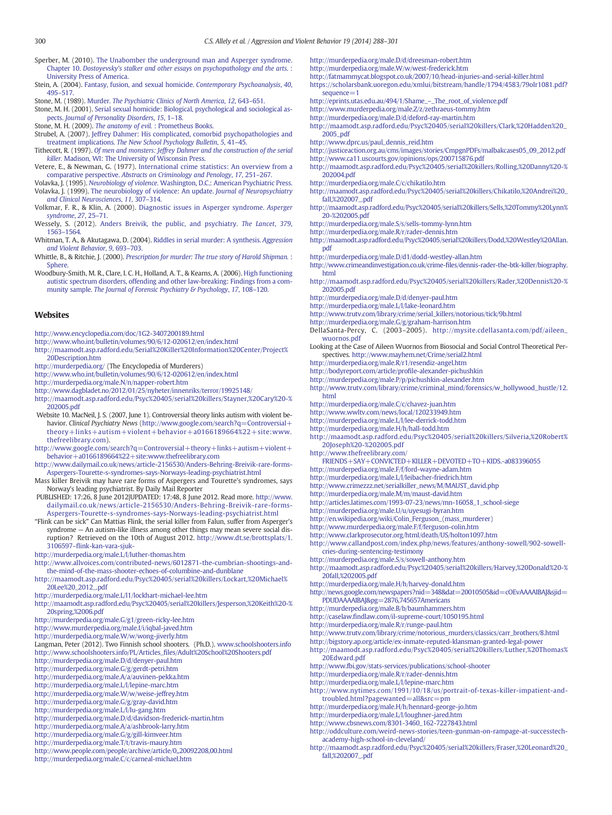- <span id="page-13-0"></span>Sperber, M. (2010). [The Unabomber the underground man and Asperger syndrome.](http://refhub.elsevier.com/S1359-1789(14)00030-5/rf0695) Chapter 10. [Dostoyevsky's stalker and other essays on psychopathology and the arts](http://refhub.elsevier.com/S1359-1789(14)00030-5/rf0695). : [University Press of America.](http://refhub.elsevier.com/S1359-1789(14)00030-5/rf0695)
- Stein, A. (2004). [Fantasy, fusion, and sexual homicide.](http://refhub.elsevier.com/S1359-1789(14)00030-5/rf0700) Contemporary Psychoanalysis, 40, 495–[517.](http://refhub.elsevier.com/S1359-1789(14)00030-5/rf0700)
- Stone, M. (1989). Murder. [The Psychiatric Clinics of North America](http://refhub.elsevier.com/S1359-1789(14)00030-5/rf0705), 12, 643–651.
- Stone, M. H. (2001). [Serial sexual homicide: Biological, psychological and sociological as](http://refhub.elsevier.com/S1359-1789(14)00030-5/rf0710)pects. [Journal of Personality Disorders](http://refhub.elsevier.com/S1359-1789(14)00030-5/rf0710), 15, 1–18.
- 
- Stone, M. H. (2009). The anatomy of evil. [: Prometheus Books.](http://refhub.elsevier.com/S1359-1789(14)00030-5/rf0715) Strubel, A. (2007). [Jeffrey Dahmer: His complicated, comorbid psychopathologies and](http://refhub.elsevier.com/S1359-1789(14)00030-5/rf0720) treatment implications. [The New School Psychology Bulletin](http://refhub.elsevier.com/S1359-1789(14)00030-5/rf0720), 5, 41–45.
- Tithecott, R. (1997). [Of men and monsters: Jeffrey Dahmer and the construction of the serial](http://refhub.elsevier.com/S1359-1789(14)00030-5/rf0725) killer. [Madison, WI: The University of Wisconsin Press.](http://refhub.elsevier.com/S1359-1789(14)00030-5/rf0725)
- Vetere, E., & Newman, G. (1977). [International crime statistics: An overview from a](http://refhub.elsevier.com/S1359-1789(14)00030-5/rf0730) comparative perspective. [Abstracts on Criminology and Penology](http://refhub.elsevier.com/S1359-1789(14)00030-5/rf0730), 17, 251–267.
- Volavka, J. (1995). Neurobiology of violence. [Washington, D.C.: American Psychiatric Press.](http://refhub.elsevier.com/S1359-1789(14)00030-5/rf0735) Volavka, J. (1999). [The neurobiology of violence: An update.](http://refhub.elsevier.com/S1359-1789(14)00030-5/rf0740) Journal of Neuropsychiatry [and Clinical Neurosciences](http://refhub.elsevier.com/S1359-1789(14)00030-5/rf0740), 11, 307–314.
- Volkmar, F. R., & Klin, A. (2000). [Diagnostic issues in Asperger syndrome.](http://refhub.elsevier.com/S1359-1789(14)00030-5/rf0745) Asperger [syndrome](http://refhub.elsevier.com/S1359-1789(14)00030-5/rf0745), 27, 25–71.
- Wessely, S. (2012). [Anders Breivik, the public, and psychiatry.](http://refhub.elsevier.com/S1359-1789(14)00030-5/rf0750) The Lancet, 379, 1563–[1564.](http://refhub.elsevier.com/S1359-1789(14)00030-5/rf0750)
- Whitman, T. A., & Akutagawa, D. (2004). [Riddles in serial murder: A synthesis.](http://refhub.elsevier.com/S1359-1789(14)00030-5/rf0755) Aggression [and Violent Behavior](http://refhub.elsevier.com/S1359-1789(14)00030-5/rf0755), 9, 693–703.
- Whittle, B., & Ritchie, J. (2000). [Prescription for murder: The true story of Harold Shipman.](http://refhub.elsevier.com/S1359-1789(14)00030-5/rf0760) : Sphere
- Woodbury-Smith, M. R., Clare, I. C. H., Holland, A. T., & Kearns, A. (2006). [High functioning](http://refhub.elsevier.com/S1359-1789(14)00030-5/rf0765) [autistic spectrum disorders, offending and other law-breaking: Findings from a com](http://refhub.elsevier.com/S1359-1789(14)00030-5/rf0765)munity sample. [The Journal of Forensic Psychiatry & Psychology](http://refhub.elsevier.com/S1359-1789(14)00030-5/rf0765), 17, 108–120.

#### **Websites**

<http://www.encyclopedia.com/doc/1G2-3407200189.html>

- <http://www.who.int/bulletin/volumes/90/6/12-020612/en/index.html>
- [http://maamodt.asp.radford.edu/Serial%20Killer%20Information%20Center/Project%](http://maamodt.asp.radford.edu/Serial%20Killer%20Information%20Center/Project%20Description.htm) [20Description.htm](http://maamodt.asp.radford.edu/Serial%20Killer%20Information%20Center/Project%20Description.htm)
- <http://murderpedia.org/> (The Encyclopedia of Murderers)
- <http://www.who.int/bulletin/volumes/90/6/12-020612/en/index.html>
- <http://murderpedia.org/male.N/n/napper-robert.htm>
- <http://www.dagbladet.no/2012/01/25/nyheter/innenriks/terror/19925148/>
- [http://maamodt.asp.radford.edu/Psyc%20405/serial%20killers/Stayner,%20Cary%20-%](http://maamodt.asp.radford.edu/Psyc%20405/serial%20killers/Stayner,%20Cary%20-%202005.pdf) [202005.pdf](http://maamodt.asp.radford.edu/Psyc%20405/serial%20killers/Stayner,%20Cary%20-%202005.pdf)
- Website 10. MacNeil, J. S. (2007, June 1). Controversial theory links autism with violent be-havior. Clinical Psychiatry News [\(http://www.google.com/search?q=Controversial+](http://www.google.com/search?q=Controversial+theory+links+autism+violent+behavior+a0166189664%22+site:www.thefreelibrary.com) [theory+links+autism+violent+behavior+a0166189664%22+site:www.](http://www.google.com/search?q=Controversial+theory+links+autism+violent+behavior+a0166189664%22+site:www.thefreelibrary.com) [thefreelibrary.com](http://www.google.com/search?q=Controversial+theory+links+autism+violent+behavior+a0166189664%22+site:www.thefreelibrary.com)).
- [http://www.google.com/search?q=Controversial+theory+links+autism+violent+](http://www.google.com/search?q=Controversial+theory+links+autism+violent+behavior+a0166189664%22+site:www.thefreelibrary.com) [behavior+a0166189664%22+site:www.thefreelibrary.com](http://www.google.com/search?q=Controversial+theory+links+autism+violent+behavior+a0166189664%22+site:www.thefreelibrary.com)
- [http://www.dailymail.co.uk/news/article-2156530/Anders-Behring-Breivik-rare-forms-](http://www.dailymail.co.uk/news/article-2156530/Anders-Behring-Breivik-rare-forms-Aspergers-Tourette-s-syndromes-says-Norways-leading-psychiatrist.html)[Aspergers-Tourette-s-syndromes-says-Norways-leading-psychiatrist.html](http://www.dailymail.co.uk/news/article-2156530/Anders-Behring-Breivik-rare-forms-Aspergers-Tourette-s-syndromes-says-Norways-leading-psychiatrist.html)
- Mass killer Breivik may have rare forms of Aspergers and Tourette's syndromes, says Norway's leading psychiatrist. By Daily Mail Reporter
- PUBLISHED: 17:26, 8 June 2012|UPDATED: 17:48, 8 June 2012. Read more. [http://www.](http://www.dailymail.co.uk/news/article-2156530/Anders-Behring-Breivik-rare-forms-Aspergers-Tourette-s-syndromes-says-Norways-leading-psychiatrist.html) [dailymail.co.uk/news/article-2156530/Anders-Behring-Breivik-rare-forms-](http://www.dailymail.co.uk/news/article-2156530/Anders-Behring-Breivik-rare-forms-Aspergers-Tourette-s-syndromes-says-Norways-leading-psychiatrist.html)[Aspergers-Tourette-s-syndromes-says-Norways-leading-psychiatrist.html](http://www.dailymail.co.uk/news/article-2156530/Anders-Behring-Breivik-rare-forms-Aspergers-Tourette-s-syndromes-says-Norways-leading-psychiatrist.html)
- "Flink can be sick" Can Mattias Flink, the serial killer from Falun, suffer from Asperger's syndrome — An autism-like illness among other things may mean severe social disruption? Retrieved on the 10th of August 2012. [http://www.dt.se/brottsplats/1.](http://www.dt.se/brottsplats/1.3106597--flink-kan-vara-sjuk-) 3106597–fl[ink-kan-vara-sjuk-](http://www.dt.se/brottsplats/1.3106597--flink-kan-vara-sjuk-)
- <http://murderpedia.org/male.L/l/luther-thomas.htm>
- [http://www.allvoices.com/contributed-news/6012871-the-cumbrian-shootings-and](http://www.allvoices.com/contributed-news/6012871-the-cumbrian-shootings-and-the-mind-of-the-mass-shooter-echoes-of-columbine-and-dunblane)[the-mind-of-the-mass-shooter-echoes-of-columbine-and-dunblane](http://www.allvoices.com/contributed-news/6012871-the-cumbrian-shootings-and-the-mind-of-the-mass-shooter-echoes-of-columbine-and-dunblane)
- [http://maamodt.asp.radford.edu/Psyc%20405/serial%20killers/Lockart,%20Michael%](http://maamodt.asp.radford.edu/Psyc%20405/serial%20killers/Lockart,%20Michael%20Lee%20_2012_.pdf) [20Lee%20\\_2012\\_.pdf](http://maamodt.asp.radford.edu/Psyc%20405/serial%20killers/Lockart,%20Michael%20Lee%20_2012_.pdf)
- <http://murderpedia.org/male.L/l1/lockhart-michael-lee.htm>

[http://maamodt.asp.radford.edu/Psyc%20405/serial%20killers/Jesperson,%20Keith%20-%](http://maamodt.asp.radford.edu/Psyc%20405/serial%20killers/Jesperson,%20Keith%20-%20spring,%2006.pdf) [20spring,%2006.pdf](http://maamodt.asp.radford.edu/Psyc%20405/serial%20killers/Jesperson,%20Keith%20-%20spring,%2006.pdf)

- <http://murderpedia.org/male.G/g1/green-ricky-lee.htm>
- <http://www.murderpedia.org/male.I/i/iqbal-javed.htm>

<http://murderpedia.org/male.W/w/wong-jiverly.htm>

- Langman, Peter (2012). Two Finnish school shooters. (Ph.D.). [www.schoolshooters.info](http://www.schoolshooters.info) [http://www.schoolshooters.info/PL/Articles\\_](http://www.schoolshooters.info/PL/Articles_files/Adult%20School%20Shooters.pdf)files/Adult%20School%20Shooters.pdf
- <http://murderpedia.org/male.D/d/denyer-paul.htm>
- <http://murderpedia.org/male.G/g/gerdt-petri.htm> <http://murderpedia.org/male.A/a/auvinen-pekka.htm>
- 
- <http://murderpedia.org/male.L/l/lepine-marc.htm> <http://murderpedia.org/male.W/w/weise-jeffrey.htm>
- 
- <http://murderpedia.org/male.G/g/gray-david.htm>
- <http://murderpedia.org/male.L/l/lu-gang.htm> <http://murderpedia.org/male.D/d/davidson-frederick-martin.htm>
- <http://murderpedia.org/male.A/a/ashbrook-larry.htm>
- 
- <http://murderpedia.org/male.G/g/gill-kimveer.htm> <http://murderpedia.org/male.T/t/travis-maury.htm>
- <http://www.people.com/people/archive/article/0,,20092208,00.html> <http://murderpedia.org/male.C/c/carneal-michael.htm>
- 
- <http://murderpedia.org/male.D/d/dreesman-robert.htm>
- <http://murderpedia.org/male.W/w/west-frederick.htm>
- <http://fatmammycat.blogspot.co.uk/2007/10/head-injuries-and-serial-killer.html> [https://scholarsbank.uoregon.edu/xmlui/bitstream/handle/1794/4583/79olr1081.pdf?](https://scholarsbank.uoregon.edu/xmlui/bitstream/handle/1794/4583/79olr1081.pdf?sequence=1) [sequence=1](https://scholarsbank.uoregon.edu/xmlui/bitstream/handle/1794/4583/79olr1081.pdf?sequence=1)
- [http://eprints.utas.edu.au/494/1/Shame\\_](http://eprints.utas.edu.au/494/1/Shame_--_The_root_of_violence.pdf)–\_The\_root\_of\_violence.pdf
- <http://www.murderpedia.org/male.Z/z/zethraeus-tommy.htm>
- <http://murderpedia.org/male.D/d/deford-ray-martin.htm>
- [http://maamodt.asp.radford.edu/Psyc%20405/serial%20killers/Clark,%20Hadden%20\\_](http://maamodt.asp.radford.edu/Psyc%20405/serial%20killers/Clark,%20Hadden%20_2005_pdf)
- [2005\\_pdf](http://maamodt.asp.radford.edu/Psyc%20405/serial%20killers/Clark,%20Hadden%20_2005_pdf)
- [http://www.dprc.us/paul\\_dennis\\_reid.htm](http://www.dprc.us/paul_dennis_reid.htm)
- [http://justiceaction.org.au/cms/images/stories/CmpgnPDFs/malbakcases05\\_09\\_2012.pdf](http://justiceaction.org.au/cms/images/stories/CmpgnPDFs/malbakcases05_09_2012.pdf) <http://www.ca11.uscourts.gov/opinions/ops/200715876.pdf>
- [http://maamodt.asp.radford.edu/Psyc%20405/serial%20killers/Rolling,%20Danny%20-%](http://maamodt.asp.radford.edu/Psyc%20405/serial%20killers/Rolling,%20Danny%20-%202004.pdf) [202004.pdf](http://maamodt.asp.radford.edu/Psyc%20405/serial%20killers/Rolling,%20Danny%20-%202004.pdf)
- <http://murderpedia.org/male.C/c/chikatilo.htm>
- [http://maamodt.asp.radford.edu/Psyc%20405/serial%20killers/Chikatilo,%20Andrei%20\\_](http://maamodt.asp.radford.edu/Psyc%20405/serial%20killers/Chikatilo,%20Andrei%20_fall,%202007_.pdf) [fall,%202007\\_.pdf](http://maamodt.asp.radford.edu/Psyc%20405/serial%20killers/Chikatilo,%20Andrei%20_fall,%202007_.pdf)
- [http://maamodt.asp.radford.edu/Psyc%20405/serial%20killers/Sells,%20Tommy%20Lynn%](http://maamodt.asp.radford.edu/Psyc%20405/serial%20killers/Sells,%20Tommy%20Lynn%20-%202005.pdf) [20-%202005.pdf](http://maamodt.asp.radford.edu/Psyc%20405/serial%20killers/Sells,%20Tommy%20Lynn%20-%202005.pdf)
- <http://murderpedia.org/male.S/s/sells-tommy-lynn.htm>
- <http://murderpedia.org/male.R/r/rader-dennis.htm>
- [http://maamodt.asp.radford.edu/Psyc%20405/serial%20killers/Dodd,%20Westley%20Allan.](http://maamodt.asp.radford.edu/Psyc%20405/serial%20killers/Dodd,%20Westley%20Allan.pdf) [pdf](http://maamodt.asp.radford.edu/Psyc%20405/serial%20killers/Dodd,%20Westley%20Allan.pdf)
- <http://murderpedia.org/male.D/d1/dodd-westley-allan.htm>
- [http://www.crimeandinvestigation.co.uk/crime-](http://www.crimeandinvestigation.co.uk/crime-files/dennis-rader-the-btk-killer/biography.html)files/dennis-rader-the-btk-killer/biography. [html](http://www.crimeandinvestigation.co.uk/crime-files/dennis-rader-the-btk-killer/biography.html)
- [http://maamodt.asp.radford.edu/Psyc%20405/serial%20killers/Rader,%20Dennis%20-%](http://maamodt.asp.radford.edu/Psyc%20405/serial%20killers/Rader,%20Dennis%20-%202005.pdf) [202005.pdf](http://maamodt.asp.radford.edu/Psyc%20405/serial%20killers/Rader,%20Dennis%20-%202005.pdf)
- <http://murderpedia.org/male.D/d/denyer-paul.htm>
- <http://murderpedia.org/male.L/l/lake-leonard.htm>
- [http://www.trutv.com/library/crime/serial\\_killers/notorious/tick/9b.html](http://www.trutv.com/library/crime/serial_killers/notorious/tick/9b.html)
- <http://murderpedia.org/male.G/g/graham-harrison.htm>
- DellaSanta-Percy, C. (2003–2005). [http://mysite.cdellasanta.com/pdf/aileen\\_](http://mysite.cdellasanta.com/pdf/aileen_wuornos.pdf) [wuornos.pdf](http://mysite.cdellasanta.com/pdf/aileen_wuornos.pdf)
- Looking at the Case of Aileen Wuornos from Biosocial and Social Control Theoretical Perspectives. <http://www.mayhem.net/Crime/serial2.html>
- <http://murderpedia.org/male.R/r1/resendiz-angel.htm>
- [http://bodyreport.com/article/pro](http://bodyreport.com/article/profile-alexander-pichushkin)file-alexander-pichushkin
- <http://murderpedia.org/male.P/p/pichushkin-alexander.htm>
- [http://www.trutv.com/library/crime/criminal\\_mind/forensics/w\\_hollywood\\_hustle/12.](http://www.trutv.com/library/crime/criminal_mind/forensics/w_hollywood_hustle/12.html) [html](http://www.trutv.com/library/crime/criminal_mind/forensics/w_hollywood_hustle/12.html)
- <http://murderpedia.org/male.C/c/chavez-juan.htm>
- <http://www.wwltv.com/news/local/120233949.htm>
- <http://murderpedia.org/male.L/l/lee-derrick-todd.htm>
- <http://murderpedia.org/male.H/h/hall-todd.htm>
- [http://maamodt.asp.radford.edu/Psyc%20405/serial%20killers/Silveria,%20Robert%](http://maamodt.asp.radford.edu/Psyc%20405/serial%20killers/Silveria,%20Robert%20Joseph%20-%202005.pdf) [20Joseph%20-%202005.pdf](http://maamodt.asp.radford.edu/Psyc%20405/serial%20killers/Silveria,%20Robert%20Joseph%20-%202005.pdf)
- [http://www.thefreelibrary.com/](http://www.thefreelibrary.com/FRIENDS+SAY+CONVICTED+KILLER+DEVOTED+TO+KIDS.-a083396055)
- [FRIENDS+SAY+CONVICTED+KILLER+DEVOTED+TO+KIDS.-a083396055](http://www.thefreelibrary.com/FRIENDS+SAY+CONVICTED+KILLER+DEVOTED+TO+KIDS.-a083396055) <http://murderpedia.org/male.F/f/ford-wayne-adam.htm>
- <http://murderpedia.org/male.L/l/leibacher-friedrich.htm>
- 
- [http://www.crimezzz.net/serialkiller\\_news/M/MAUST\\_david.php](http://www.crimezzz.net/serialkiller_news/M/MAUST_david.php) <http://murderpedia.org/male.M/m/maust-david.htm>
- [http://articles.latimes.com/1993-07-23/news/mn-16058\\_1\\_school-siege](http://articles.latimes.com/1993-07-23/news/mn-16058_1_school-siege)
- <http://murderpedia.org/male.U/u/uyesugi-byran.htm>
- [http://en.wikipedia.org/wiki/Colin\\_Ferguson\\_\(mass\\_murderer\)](http://en.wikipedia.org/wiki/Colin_Ferguson_(mass_murderer))
- <http://www.murderpedia.org/male.F/f/ferguson-colin.htm>
- <http://www.clarkprosecutor.org/html/death/US/holton1097.htm>
- [http://www.callandpost.com/index.php/news/features/anthony-sowell/902-sowell](http://www.callandpost.com/index.php/news/features/anthony-sowell/902-sowell-cries-during-sentencing-testimony)[cries-during-sentencing-testimony](http://www.callandpost.com/index.php/news/features/anthony-sowell/902-sowell-cries-during-sentencing-testimony)
- <http://murderpedia.org/male.S/s/sowell-anthony.htm>
- [http://maamodt.asp.radford.edu/Psyc%20405/serial%20killers/Harvey,%20Donald%20-%](http://maamodt.asp.radford.edu/Psyc%20405/serial%20killers/Harvey,%20Donald%20-%20fall,%202005.pdf) [20fall,%202005.pdf](http://maamodt.asp.radford.edu/Psyc%20405/serial%20killers/Harvey,%20Donald%20-%20fall,%202005.pdf)

[http://news.google.com/newspapers?nid=348&dat=20010505&id=cOEvAAAAIBAJ&sjid=](http://news.google.com/newspapers?nid=348&dat=20010505&id=cOEvAAAAIBAJ&sjid=PDUDAAAAIBAJ&pg=2876,745657Americans)

[http://www.trutv.com/library/crime/notorious\\_murders/classics/carr\\_brothers/8.html](http://www.trutv.com/library/crime/notorious_murders/classics/carr_brothers/8.html) <http://bigstory.ap.org/article/ex-inmate-reputed-klansman-granted-legal-power> [http://maamodt.asp.radford.edu/Psyc%20405/serial%20killers/Luther,%20Thomas%](http://maamodt.asp.radford.edu/Psyc%20405/serial%20killers/Luther,%20Thomas%20Edward.pdf)

[http://www.nytimes.com/1991/10/18/us/portrait-of-texas-killer-impatient-and-](http://www.nytimes.com/1991/10/18/us/portrait-of-texas-killer-impatient-and-troubled.html?pagewanted=all&src=pm)

[http://oddculture.com/weird-news-stories/teen-gunman-on-rampage-at-successtech-](http://oddculture.com/weird-news-stories/teen-gunman-on-rampage-at-successtech-academy-high-school-in-cleveland/)

[http://maamodt.asp.radford.edu/Psyc%20405/serial%20killers/Fraser,%20Leonard%20\\_](http://maamodt.asp.radford.edu/Psyc%20405/serial%20killers/Fraser,%20Leonard%20_fall,%202007_.pdf)

<http://murderpedia.org/male.H/h/harvey-donald.htm> [PDUDAAAAIBAJ&pg=2876,745657Americans](http://news.google.com/newspapers?nid=348&dat=20010505&id=cOEvAAAAIBAJ&sjid=PDUDAAAAIBAJ&pg=2876,745657Americans)

<http://murderpedia.org/male.B/b/baumhammers.htm> http://caselaw.fi[ndlaw.com/il-supreme-court/1050195.html](http://caselaw.findlaw.com/il-supreme-court/1050195.html) <http://murderpedia.org/male.R/r/runge-paul.htm>

[troubled.html?pagewanted=all&src=pm](http://www.nytimes.com/1991/10/18/us/portrait-of-texas-killer-impatient-and-troubled.html?pagewanted=all&src=pm) <http://murderpedia.org/male.H/h/hennard-george-jo.htm> <http://murderpedia.org/male.L/l/loughner-jared.htm> [http://www.cbsnews.com/8301-3460\\_162-7227843.html](http://www.cbsnews.com/8301-3460_162-7227843.html)

[academy-high-school-in-cleveland/](http://oddculture.com/weird-news-stories/teen-gunman-on-rampage-at-successtech-academy-high-school-in-cleveland/)

<http://www.fbi.gov/stats-services/publications/school-shooter> <http://murderpedia.org/male.R/r/rader-dennis.htm> <http://murderpedia.org/male.L/l/lepine-marc.htm>

[20Edward.pdf](http://maamodt.asp.radford.edu/Psyc%20405/serial%20killers/Luther,%20Thomas%20Edward.pdf)

[fall,%202007\\_.pdf](http://maamodt.asp.radford.edu/Psyc%20405/serial%20killers/Fraser,%20Leonard%20_fall,%202007_.pdf)